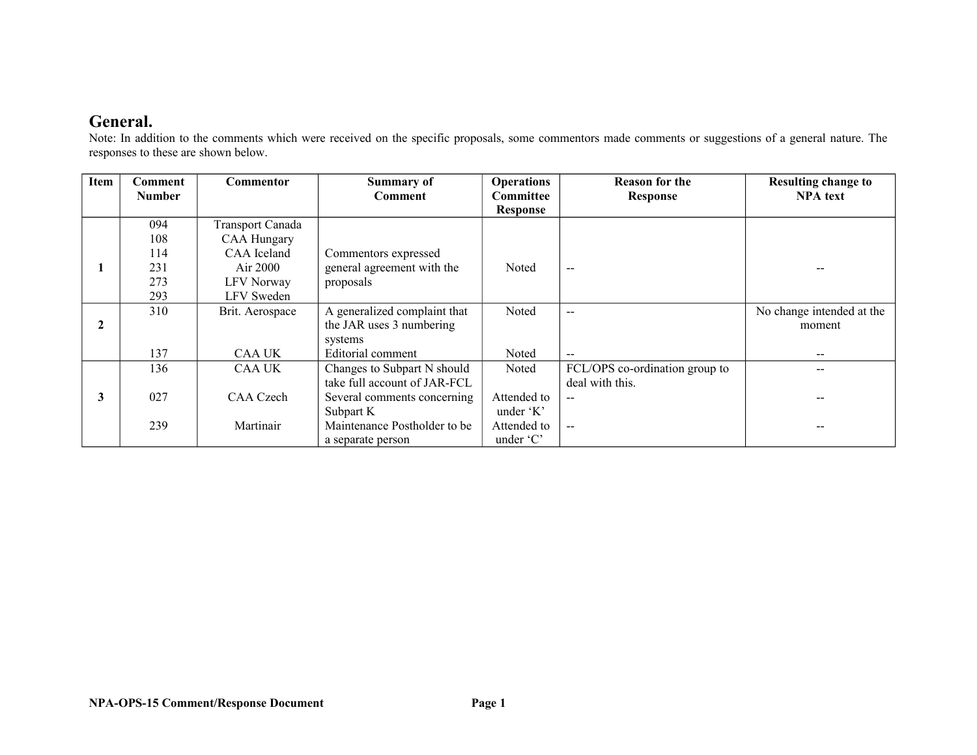### **General.**

Note: In addition to the comments which were received on the specific proposals, some commentors made comments or suggestions of a general nature. The responses to these are shown below.

| Item           | Comment       | <b>Commentor</b>        | <b>Summary of</b>            | <b>Operations</b> | <b>Reason for the</b>          | <b>Resulting change to</b> |
|----------------|---------------|-------------------------|------------------------------|-------------------|--------------------------------|----------------------------|
|                | <b>Number</b> |                         | <b>Comment</b>               | Committee         | <b>Response</b>                | <b>NPA</b> text            |
|                |               |                         |                              | <b>Response</b>   |                                |                            |
|                | 094           | <b>Transport Canada</b> |                              |                   |                                |                            |
|                | 108           | <b>CAA Hungary</b>      |                              |                   |                                |                            |
|                | 114           | CAA Iceland             | Commentors expressed         |                   |                                |                            |
|                | 231           | Air $2000$              | general agreement with the   | Noted             | $\sim$ $\sim$                  |                            |
|                | 273           | LFV Norway              | proposals                    |                   |                                |                            |
|                | 293           | LFV Sweden              |                              |                   |                                |                            |
|                | 310           | Brit. Aerospace         | A generalized complaint that | Noted             | $-$                            | No change intended at the  |
| $\overline{2}$ |               |                         | the JAR uses 3 numbering     |                   |                                | moment                     |
|                |               |                         | systems                      |                   |                                |                            |
|                | 137           | <b>CAA UK</b>           | Editorial comment            | Noted             | $-$                            | --                         |
|                | 136           | CAA UK                  | Changes to Subpart N should  | Noted             | FCL/OPS co-ordination group to |                            |
|                |               |                         | take full account of JAR-FCL |                   | deal with this.                |                            |
| 3              | 027           | CAA Czech               | Several comments concerning  | Attended to       | $-$                            |                            |
|                |               |                         | Subpart K                    | under 'K'         |                                |                            |
|                | 239           | Martinair               | Maintenance Postholder to be | Attended to       | $-$                            |                            |
|                |               |                         | a separate person            | under 'C'         |                                |                            |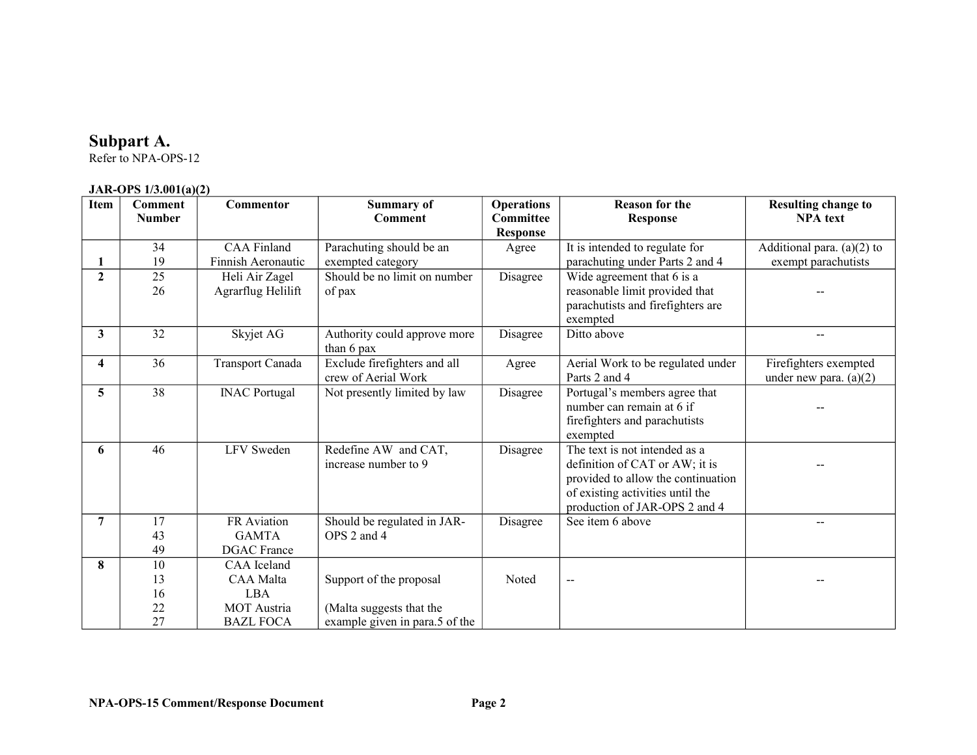#### **Subpart A.**

Refer to NPA-OPS-12

#### **JAR-OPS 1/3.001(a)(2)**

| Item           | <b>Comment</b><br><b>Number</b> | Commentor                                                                      | <b>Summary of</b><br><b>Comment</b>                                                                                | <b>Operations</b><br><b>Committee</b><br><b>Response</b>                                                            | <b>Reason for the</b><br><b>Response</b>                                                                                                                                   | <b>Resulting change to</b><br><b>NPA</b> text       |
|----------------|---------------------------------|--------------------------------------------------------------------------------|--------------------------------------------------------------------------------------------------------------------|---------------------------------------------------------------------------------------------------------------------|----------------------------------------------------------------------------------------------------------------------------------------------------------------------------|-----------------------------------------------------|
|                | 34<br>19                        | <b>CAA Finland</b><br>Finnish Aeronautic                                       | Parachuting should be an<br>exempted category                                                                      | Agree                                                                                                               | It is intended to regulate for<br>parachuting under Parts 2 and 4                                                                                                          | Additional para. $(a)(2)$ to<br>exempt parachutists |
| $\overline{2}$ | $\overline{25}$<br>26           | Should be no limit on number<br>Heli Air Zagel<br>Agrarflug Helilift<br>of pax |                                                                                                                    | Disagree                                                                                                            | Wide agreement that 6 is a<br>reasonable limit provided that<br>parachutists and firefighters are<br>exempted                                                              |                                                     |
| 3              | 32                              | Skyjet AG                                                                      | Disagree<br>Ditto above<br>Authority could approve more<br>than 6 pax                                              |                                                                                                                     |                                                                                                                                                                            |                                                     |
| 4              | 36                              | <b>Transport Canada</b>                                                        | Exclude firefighters and all<br>Aerial Work to be regulated under<br>Agree<br>crew of Aerial Work<br>Parts 2 and 4 |                                                                                                                     |                                                                                                                                                                            | Firefighters exempted<br>under new para. $(a)(2)$   |
| 5              | 38                              | <b>INAC Portugal</b>                                                           | Not presently limited by law                                                                                       | Portugal's members agree that<br>Disagree<br>number can remain at 6 if<br>firefighters and parachutists<br>exempted |                                                                                                                                                                            |                                                     |
| 6              | 46                              | <b>LFV</b> Sweden                                                              | Redefine AW and CAT,<br>increase number to 9                                                                       | Disagree                                                                                                            | The text is not intended as a<br>definition of CAT or AW; it is<br>provided to allow the continuation<br>of existing activities until the<br>production of JAR-OPS 2 and 4 |                                                     |
| 7              | 17<br>43<br>49                  | FR Aviation<br><b>GAMTA</b><br><b>DGAC</b> France                              | Should be regulated in JAR-<br>OPS 2 and 4                                                                         | Disagree                                                                                                            | See item 6 above                                                                                                                                                           |                                                     |
| 8              | 10<br>13<br>16<br>22<br>27      | CAA Iceland<br>CAA Malta<br><b>LBA</b><br>MOT Austria<br><b>BAZL FOCA</b>      | Support of the proposal<br>(Malta suggests that the<br>example given in para.5 of the                              | <b>Noted</b>                                                                                                        | $\overline{\phantom{a}}$                                                                                                                                                   |                                                     |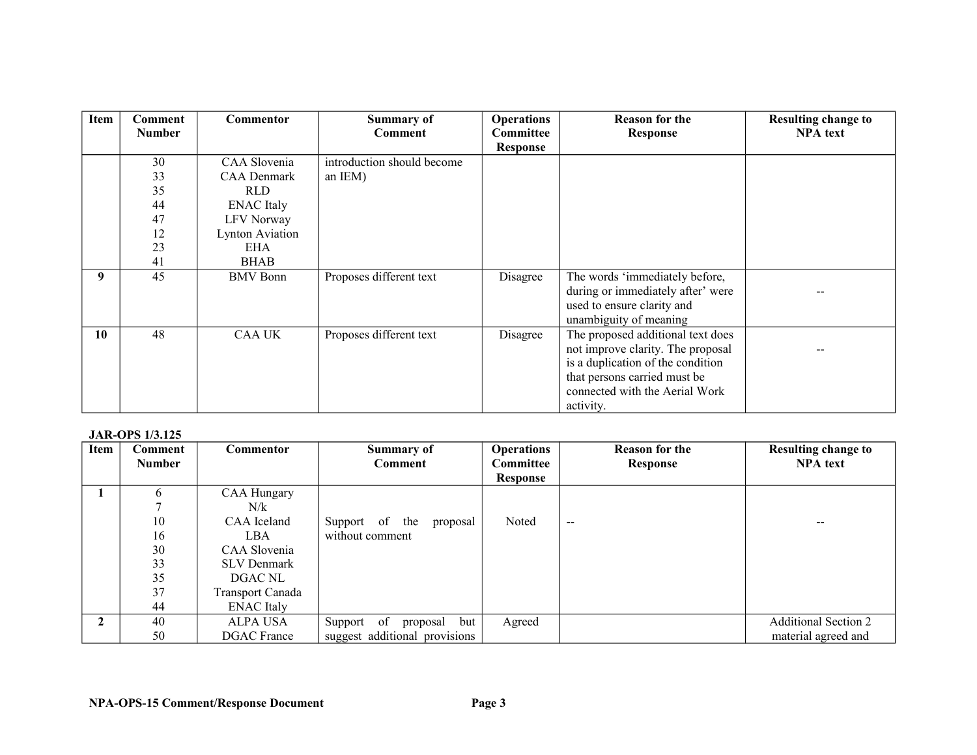| Item | Comment<br><b>Number</b> | <b>Commentor</b>       | <b>Summary of</b><br>Comment | <b>Operations</b><br>Committee | <b>Reason for the</b><br><b>Response</b> | <b>Resulting change to</b><br><b>NPA</b> text |
|------|--------------------------|------------------------|------------------------------|--------------------------------|------------------------------------------|-----------------------------------------------|
|      |                          |                        |                              | Response                       |                                          |                                               |
|      | 30                       | CAA Slovenia           | introduction should become   |                                |                                          |                                               |
|      | 33                       | <b>CAA Denmark</b>     | an IEM)                      |                                |                                          |                                               |
|      | 35                       | <b>RLD</b>             |                              |                                |                                          |                                               |
|      | 44                       | <b>ENAC</b> Italy      |                              |                                |                                          |                                               |
|      | 47                       | LFV Norway             |                              |                                |                                          |                                               |
|      | 12                       | <b>Lynton Aviation</b> |                              |                                |                                          |                                               |
|      | 23                       | EHA                    |                              |                                |                                          |                                               |
|      | 41                       | <b>BHAB</b>            |                              |                                |                                          |                                               |
| 9    | 45                       | <b>BMV</b> Bonn        | Proposes different text      | Disagree                       | The words 'immediately before,           |                                               |
|      |                          |                        |                              |                                | during or immediately after' were        |                                               |
|      |                          |                        |                              |                                | used to ensure clarity and               |                                               |
|      |                          |                        |                              |                                | unambiguity of meaning                   |                                               |
| 10   | 48                       | <b>CAA UK</b>          | Proposes different text      | Disagree                       | The proposed additional text does        |                                               |
|      |                          |                        |                              |                                | not improve clarity. The proposal        |                                               |
|      |                          |                        |                              |                                | is a duplication of the condition        |                                               |
|      |                          |                        |                              |                                | that persons carried must be             |                                               |
|      |                          |                        |                              |                                | connected with the Aerial Work           |                                               |
|      |                          |                        |                              |                                | activity.                                |                                               |

#### **JAR-OPS 1/3.125**

| Item | Comment       | Commentor               | <b>Summary of</b>             | <b>Operations</b> | <b>Reason for the</b> | <b>Resulting change to</b>  |
|------|---------------|-------------------------|-------------------------------|-------------------|-----------------------|-----------------------------|
|      | <b>Number</b> |                         | <b>Comment</b>                | <b>Committee</b>  | Response              | <b>NPA</b> text             |
|      |               |                         |                               | <b>Response</b>   |                       |                             |
|      | 6             | <b>CAA Hungary</b>      |                               |                   |                       |                             |
|      |               | N/k                     |                               |                   |                       |                             |
|      | 10            | CAA Iceland             | Support of the<br>proposal    | Noted             | $- -$                 |                             |
|      | 16            | LBA                     | without comment               |                   |                       |                             |
|      | 30            | CAA Slovenia            |                               |                   |                       |                             |
|      | 33            | <b>SLV Denmark</b>      |                               |                   |                       |                             |
|      | 35            | DGAC NL                 |                               |                   |                       |                             |
|      | 37            | <b>Transport Canada</b> |                               |                   |                       |                             |
|      | 44            | <b>ENAC</b> Italy       |                               |                   |                       |                             |
| 2    | 40            | ALPA USA                | Support of<br>but<br>proposal | Agreed            |                       | <b>Additional Section 2</b> |
|      | 50            | <b>DGAC</b> France      | suggest additional provisions |                   |                       | material agreed and         |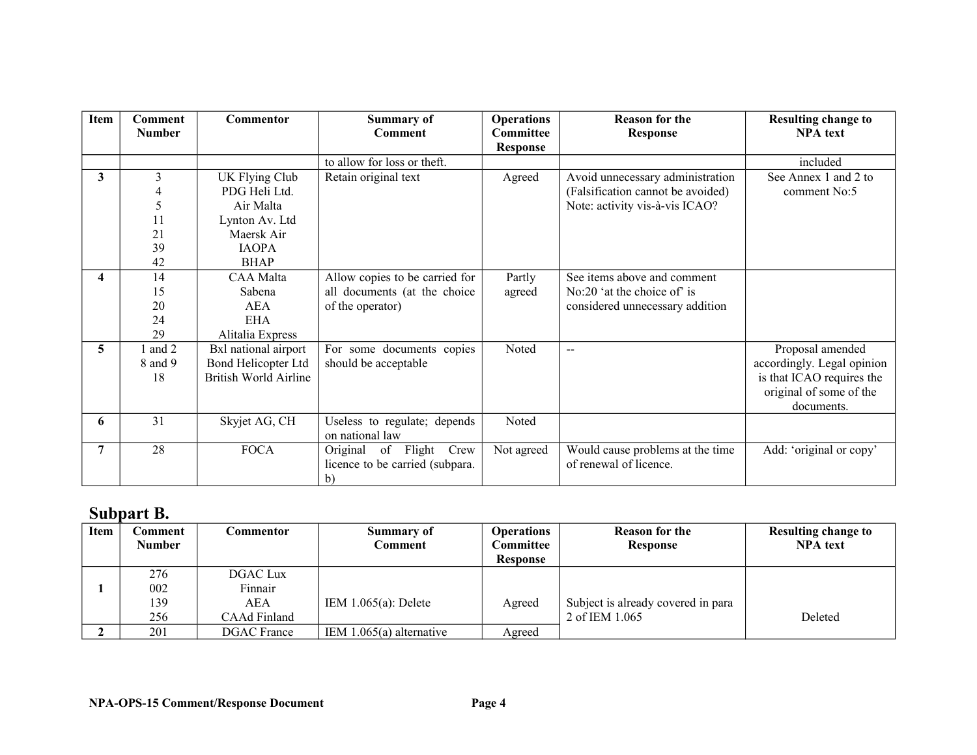| Item | <b>Comment</b> | <b>Commentor</b>             | <b>Summary of</b>               | <b>Operations</b> | <b>Reason for the</b>             | <b>Resulting change to</b> |
|------|----------------|------------------------------|---------------------------------|-------------------|-----------------------------------|----------------------------|
|      | <b>Number</b>  |                              | Comment                         | <b>Committee</b>  | <b>Response</b>                   | <b>NPA</b> text            |
|      |                |                              |                                 | <b>Response</b>   |                                   |                            |
|      |                |                              | to allow for loss or theft.     |                   |                                   | included                   |
| 3    | $\overline{3}$ | UK Flying Club               | Retain original text            | Agreed            | Avoid unnecessary administration  | See Annex 1 and 2 to       |
|      | 4              | PDG Heli Ltd.                |                                 |                   | (Falsification cannot be avoided) | comment No:5               |
|      | 5              | Air Malta                    |                                 |                   | Note: activity vis-à-vis ICAO?    |                            |
|      | 11             | Lynton Av. Ltd               |                                 |                   |                                   |                            |
|      | 21             | Maersk Air                   |                                 |                   |                                   |                            |
|      | 39             | <b>IAOPA</b>                 |                                 |                   |                                   |                            |
|      | 42             | <b>BHAP</b>                  |                                 |                   |                                   |                            |
| 4    | 14             | CAA Malta                    | Allow copies to be carried for  | Partly            | See items above and comment       |                            |
|      | 15             | Sabena                       | all documents (at the choice    | agreed            | No:20 'at the choice of' is       |                            |
|      | 20             | <b>AEA</b>                   | of the operator)                |                   | considered unnecessary addition   |                            |
|      | 24             | <b>EHA</b>                   |                                 |                   |                                   |                            |
|      | 29             | Alitalia Express             |                                 |                   |                                   |                            |
| 5    | and 2          | Bxl national airport         | For some documents copies       | Noted             | $\overline{\phantom{a}}$          | Proposal amended           |
|      | 8 and 9        | Bond Helicopter Ltd          | should be acceptable            |                   |                                   | accordingly. Legal opinion |
|      | 18             | <b>British World Airline</b> |                                 |                   |                                   | is that ICAO requires the  |
|      |                |                              |                                 |                   |                                   | original of some of the    |
|      |                |                              |                                 |                   |                                   | documents.                 |
| 6    | 31             | Skyjet AG, CH                | Useless to regulate; depends    | Noted             |                                   |                            |
|      |                |                              | on national law                 |                   |                                   |                            |
| 7    | 28             | <b>FOCA</b>                  | Original of Flight<br>Crew      | Not agreed        | Would cause problems at the time  | Add: 'original or copy'    |
|      |                |                              | licence to be carried (subpara. |                   | of renewal of licence.            |                            |
|      |                |                              | b)                              |                   |                                   |                            |

## **Subpart B.**

| Item | Comment       | Commentor          | Summary of                 | <b>Operations</b> | <b>Reason for the</b>              | <b>Resulting change to</b> |
|------|---------------|--------------------|----------------------------|-------------------|------------------------------------|----------------------------|
|      | <b>Number</b> |                    | Comment                    | Committee         | <b>Response</b>                    | <b>NPA</b> text            |
|      |               |                    |                            | <b>Response</b>   |                                    |                            |
|      | 276           | DGAC Lux           |                            |                   |                                    |                            |
|      | 002           | Finnair            |                            |                   |                                    |                            |
|      | 139           | AEA                | IEM $1.065(a)$ : Delete    | Agreed            | Subject is already covered in para |                            |
|      | 256           | CAAd Finland       |                            |                   | 2 of IEM 1.065                     | Deleted                    |
|      | 201           | <b>DGAC</b> France | IEM $1.065(a)$ alternative | Agreed            |                                    |                            |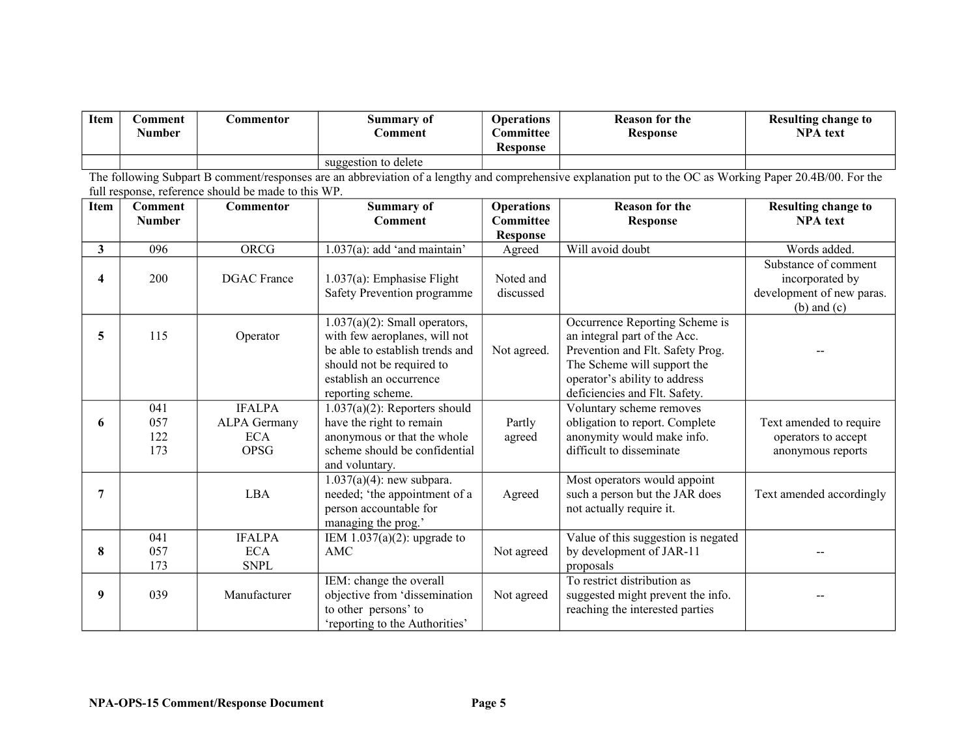| Item | <b>\omment</b><br><b>BT</b><br>Number | .'ommentor | Summary of<br>.`omment | <b>Operations</b><br><b>Committee_</b><br><b>Response</b> | <b>Reason for the</b><br><b>Response</b> | <b>Resulting change to</b><br><b>NPA</b> text |
|------|---------------------------------------|------------|------------------------|-----------------------------------------------------------|------------------------------------------|-----------------------------------------------|
|      |                                       |            | suggestion to delete   |                                                           |                                          |                                               |

The following Subpart B comment/responses are an abbreviation of a lengthy and comprehensive explanation put to the OC as Working Paper 20.4B/00. For the full response, reference should be made to this WP.

| Item | <b>Comment</b> | Commentor           | <b>Summary of</b>                | <b>Operations</b> | <b>Reason for the</b>               | <b>Resulting change to</b> |
|------|----------------|---------------------|----------------------------------|-------------------|-------------------------------------|----------------------------|
|      | <b>Number</b>  |                     | Comment                          | <b>Committee</b>  | <b>Response</b>                     | <b>NPA</b> text            |
|      |                |                     |                                  | <b>Response</b>   |                                     |                            |
| 3    | 096            | ORCG                | $1.037(a)$ : add 'and maintain'  | Agreed            | Will avoid doubt                    | Words added.               |
|      |                |                     |                                  |                   |                                     | Substance of comment       |
| 4    | 200            | <b>DGAC</b> France  | $1.037(a)$ : Emphasise Flight    | Noted and         |                                     | incorporated by            |
|      |                |                     | Safety Prevention programme      | discussed         |                                     | development of new paras.  |
|      |                |                     |                                  |                   |                                     | $(b)$ and $(c)$            |
|      |                |                     | $1.037(a)(2)$ : Small operators, |                   | Occurrence Reporting Scheme is      |                            |
| 5    | 115            | Operator            | with few aeroplanes, will not    |                   | an integral part of the Acc.        |                            |
|      |                |                     | be able to establish trends and  | Not agreed.       | Prevention and Flt. Safety Prog.    |                            |
|      |                |                     | should not be required to        |                   | The Scheme will support the         |                            |
|      |                |                     | establish an occurrence          |                   | operator's ability to address       |                            |
|      |                |                     | reporting scheme.                |                   | deficiencies and Flt. Safety.       |                            |
|      | 041            | <b>IFALPA</b>       | $1.037(a)(2)$ : Reporters should |                   | Voluntary scheme removes            |                            |
| 6    | 057            | <b>ALPA Germany</b> | have the right to remain         | Partly            | obligation to report. Complete      | Text amended to require    |
|      | 122            | <b>ECA</b>          | anonymous or that the whole      | agreed            | anonymity would make info.          | operators to accept        |
|      | 173            | <b>OPSG</b>         | scheme should be confidential    |                   | difficult to disseminate            | anonymous reports          |
|      |                |                     | and voluntary.                   |                   |                                     |                            |
|      |                |                     | $1.037(a)(4)$ : new subpara.     |                   | Most operators would appoint        |                            |
| 7    |                | LBA                 | needed; 'the appointment of a    | Agreed            | such a person but the JAR does      | Text amended accordingly   |
|      |                |                     | person accountable for           |                   | not actually require it.            |                            |
|      |                |                     | managing the prog.'              |                   |                                     |                            |
|      | 041            | <b>IFALPA</b>       | IEM $1.037(a)(2)$ : upgrade to   |                   | Value of this suggestion is negated |                            |
| 8    | 057            | <b>ECA</b>          | AMC                              | Not agreed        | by development of JAR-11            |                            |
|      | 173            | <b>SNPL</b>         |                                  |                   | proposals                           |                            |
|      |                |                     | IEM: change the overall          |                   | To restrict distribution as         |                            |
| 9    | 039            | Manufacturer        | objective from 'dissemination    | Not agreed        | suggested might prevent the info.   |                            |
|      |                |                     | to other persons' to             |                   | reaching the interested parties     |                            |
|      |                |                     | 'reporting to the Authorities'   |                   |                                     |                            |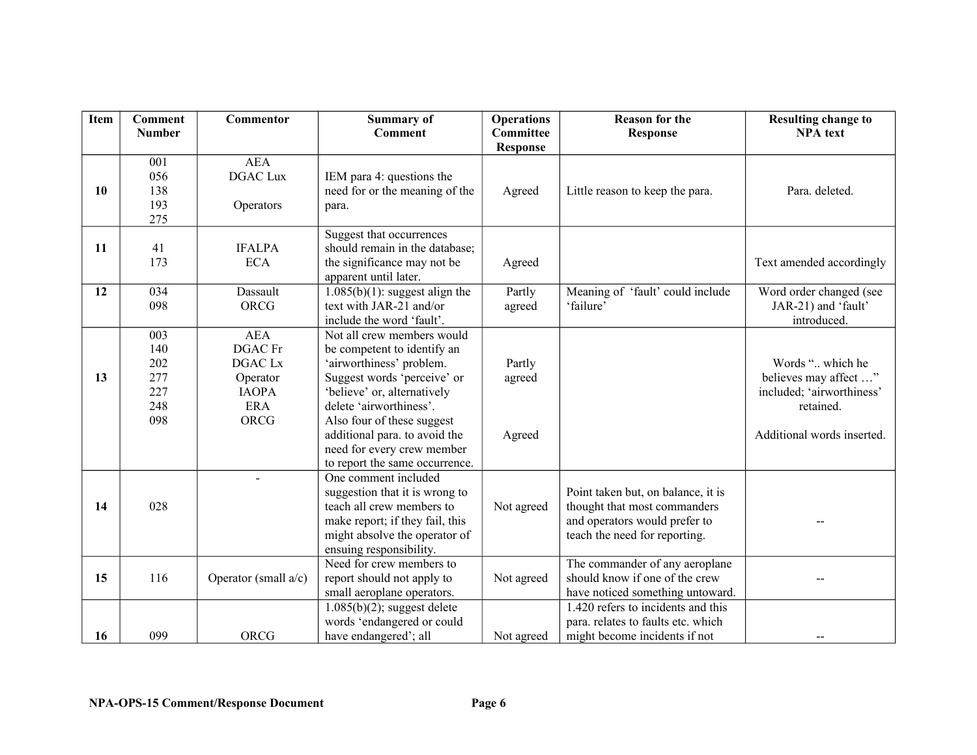| Item | <b>Comment</b> | <b>Commentor</b>     | <b>Summary of</b>                            | <b>Operations</b> | <b>Reason for the</b>              | <b>Resulting change to</b> |
|------|----------------|----------------------|----------------------------------------------|-------------------|------------------------------------|----------------------------|
|      | <b>Number</b>  |                      | Comment                                      | <b>Committee</b>  | <b>Response</b>                    | <b>NPA</b> text            |
|      |                |                      |                                              | <b>Response</b>   |                                    |                            |
|      | 001            | <b>AEA</b>           |                                              |                   |                                    |                            |
|      | 056            | <b>DGAC Lux</b>      | IEM para 4: questions the                    |                   |                                    |                            |
| 10   | 138            |                      | need for or the meaning of the               | Agreed            | Little reason to keep the para.    | Para. deleted.             |
|      | 193            | Operators            | para.                                        |                   |                                    |                            |
|      | 275            |                      |                                              |                   |                                    |                            |
|      |                |                      | Suggest that occurrences                     |                   |                                    |                            |
| 11   | 41             | <b>IFALPA</b>        | should remain in the database;               |                   |                                    |                            |
|      | 173            | <b>ECA</b>           | the significance may not be                  | Agreed            |                                    | Text amended accordingly   |
|      |                |                      | apparent until later.                        |                   |                                    |                            |
| 12   | 034            | Dassault             | $\overline{1.085(b)(1)}$ : suggest align the | Partly            | Meaning of 'fault' could include   | Word order changed (see    |
|      | 098            | <b>ORCG</b>          | text with JAR-21 and/or                      | agreed            | 'failure'                          | JAR-21) and 'fault'        |
|      |                |                      | include the word 'fault'.                    |                   |                                    | introduced.                |
|      | 003            | <b>AEA</b>           | Not all crew members would                   |                   |                                    |                            |
|      | 140            | <b>DGAC</b> Fr       | be competent to identify an                  |                   |                                    |                            |
|      | 202            | DGAC Lx              | 'airworthiness' problem.                     | Partly            |                                    | Words " which he           |
| 13   | 277            | Operator             | Suggest words 'perceive' or                  | agreed            |                                    | believes may affect "      |
|      | 227            | <b>IAOPA</b>         | 'believe' or, alternatively                  |                   |                                    | included; 'airworthiness'  |
|      | 248            | ERA                  | delete 'airworthiness'.                      |                   |                                    | retained.                  |
|      | 098            | ORCG                 | Also four of these suggest                   |                   |                                    |                            |
|      |                |                      | additional para. to avoid the                | Agreed            |                                    | Additional words inserted. |
|      |                |                      | need for every crew member                   |                   |                                    |                            |
|      |                |                      | to report the same occurrence.               |                   |                                    |                            |
|      |                |                      | One comment included                         |                   |                                    |                            |
|      |                |                      | suggestion that it is wrong to               |                   | Point taken but, on balance, it is |                            |
| 14   | 028            |                      | teach all crew members to                    | Not agreed        | thought that most commanders       |                            |
|      |                |                      | make report; if they fail, this              |                   | and operators would prefer to      |                            |
|      |                |                      | might absolve the operator of                |                   | teach the need for reporting.      |                            |
|      |                |                      | ensuing responsibility.                      |                   |                                    |                            |
|      |                |                      | Need for crew members to                     |                   | The commander of any aeroplane     |                            |
| 15   | 116            | Operator (small a/c) | report should not apply to                   | Not agreed        | should know if one of the crew     |                            |
|      |                |                      | small aeroplane operators.                   |                   | have noticed something untoward.   |                            |
|      |                |                      | $\sqrt{1.085(b)(2)}$ ; suggest delete        |                   | 1.420 refers to incidents and this |                            |
|      |                |                      | words 'endangered or could                   |                   | para. relates to faults etc. which |                            |
| 16   | 099            | ORCG                 | have endangered'; all                        | Not agreed        | might become incidents if not      |                            |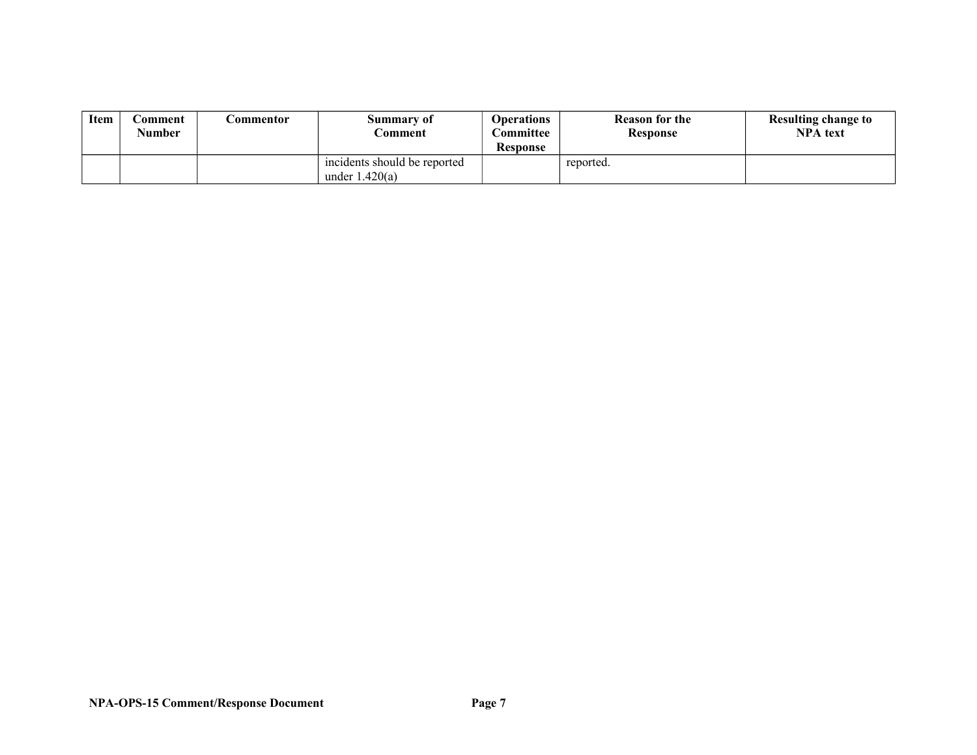| Item | .`omment<br><b>Number</b> | .\ommentor | Summary of<br><i>≥</i> omment                    | <b>Operations</b><br><b>Committee</b><br><b>Response</b> | <b>Reason for the</b><br><b>Response</b> | Resulting change to<br><b>NPA</b> text |
|------|---------------------------|------------|--------------------------------------------------|----------------------------------------------------------|------------------------------------------|----------------------------------------|
|      |                           |            | incidents should be reported<br>under $1.420(a)$ |                                                          | reported.                                |                                        |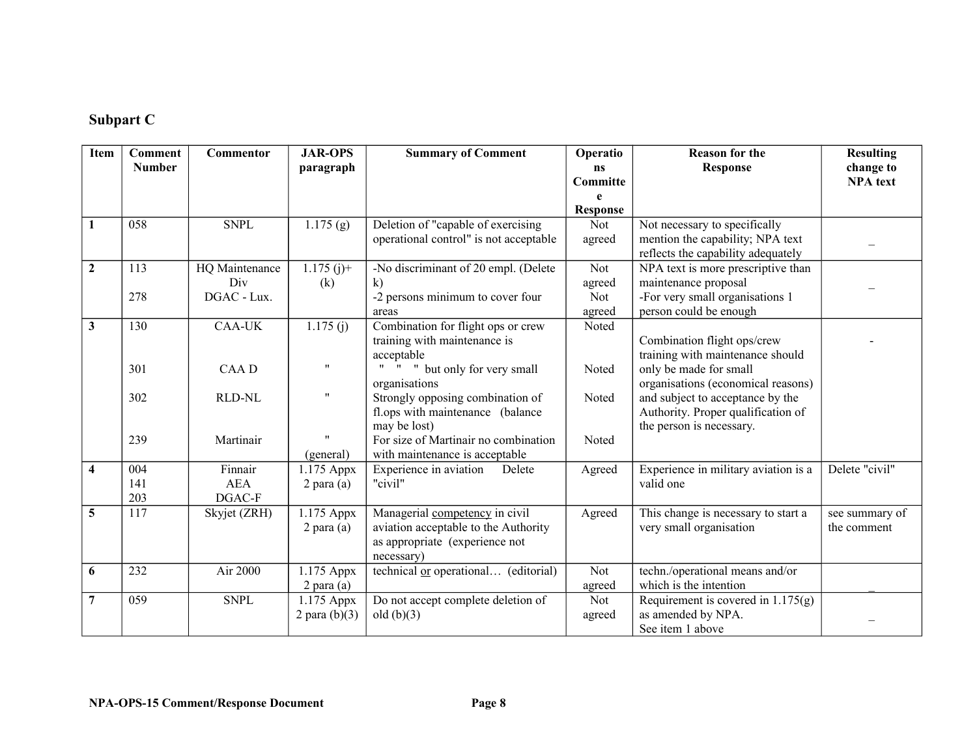## **Subpart C**

| <b>Item</b>             | Comment       | Commentor      | <b>JAR-OPS</b>          | <b>Summary of Comment</b>              | Operatio        | <b>Reason for the</b>                                  | <b>Resulting</b> |
|-------------------------|---------------|----------------|-------------------------|----------------------------------------|-----------------|--------------------------------------------------------|------------------|
|                         | <b>Number</b> |                | paragraph               |                                        | ns              | <b>Response</b>                                        | change to        |
|                         |               |                |                         |                                        | Committe        |                                                        | <b>NPA</b> text  |
|                         |               |                |                         |                                        | e               |                                                        |                  |
|                         |               |                |                         |                                        | <b>Response</b> |                                                        |                  |
| $\mathbf{1}$            | 058           | <b>SNPL</b>    | $\overline{1.175}$ (g)  | Deletion of "capable of exercising     | Not             | Not necessary to specifically                          |                  |
|                         |               |                |                         | operational control" is not acceptable | agreed          | mention the capability; NPA text                       |                  |
|                         |               |                |                         |                                        |                 | reflects the capability adequately                     |                  |
| $\overline{2}$          | 113           | HQ Maintenance | $\overline{1.175}$ (j)+ | -No discriminant of 20 empl. (Delete   | <b>Not</b>      | $\overline{\text{NPA}}$ text is more prescriptive than |                  |
|                         |               | Div            | (k)                     | $\mathbf{k}$                           | agreed          | maintenance proposal                                   |                  |
|                         | 278           | DGAC - Lux.    |                         | -2 persons minimum to cover four       | Not             | -For very small organisations 1                        |                  |
|                         |               |                |                         | areas                                  | agreed          | person could be enough                                 |                  |
| $\overline{\mathbf{3}}$ | 130           | <b>CAA-UK</b>  | 1.175(j)                | Combination for flight ops or crew     | Noted           |                                                        |                  |
|                         |               |                |                         | training with maintenance is           |                 | Combination flight ops/crew                            |                  |
|                         |               |                |                         | acceptable                             |                 | training with maintenance should                       |                  |
|                         | 301           | CAA D          | $^{\prime\prime}$       | " " but only for very small            | Noted           | only be made for small                                 |                  |
|                         |               |                |                         | organisations                          |                 | organisations (economical reasons)                     |                  |
|                         | 302           | <b>RLD-NL</b>  |                         | Strongly opposing combination of       | Noted           | and subject to acceptance by the                       |                  |
|                         |               |                |                         | fl.ops with maintenance (balance       |                 | Authority. Proper qualification of                     |                  |
|                         |               |                |                         | may be lost)                           |                 | the person is necessary.                               |                  |
|                         | 239           | Martinair      |                         | For size of Martinair no combination   | Noted           |                                                        |                  |
|                         |               |                | (general)               | with maintenance is acceptable         |                 |                                                        |                  |
| $\overline{\mathbf{4}}$ | 004           | Finnair        | 1.175 Appx              | Experience in aviation<br>Delete       | Agreed          | Experience in military aviation is a                   | Delete "civil"   |
|                         | 141           | <b>AEA</b>     | $2$ para $(a)$          | "civil"                                |                 | valid one                                              |                  |
|                         | 203           | DGAC-F         |                         |                                        |                 |                                                        |                  |
| $\overline{5}$          | 117           | Skyjet (ZRH)   | 1.175 Appx              | Managerial competency in civil         | Agreed          | This change is necessary to start a                    | see summary of   |
|                         |               |                | $2$ para $(a)$          | aviation acceptable to the Authority   |                 | very small organisation                                | the comment      |
|                         |               |                |                         | as appropriate (experience not         |                 |                                                        |                  |
|                         |               |                |                         | necessary)                             |                 |                                                        |                  |
| 6                       | 232           | Air 2000       | 1.175 Appx              | technical or operational (editorial)   | Not             | techn./operational means and/or                        |                  |
|                         |               |                | $2$ para (a)            |                                        | agreed          | which is the intention                                 |                  |
| $\overline{7}$          | 059           | <b>SNPL</b>    | 1.175 Appx              | Do not accept complete deletion of     | Not             | Requirement is covered in $1.175(g)$                   |                  |
|                         |               |                | 2 para $(b)(3)$         | old $(b)(3)$                           | agreed          | as amended by NPA.                                     |                  |
|                         |               |                |                         |                                        |                 | See item 1 above                                       |                  |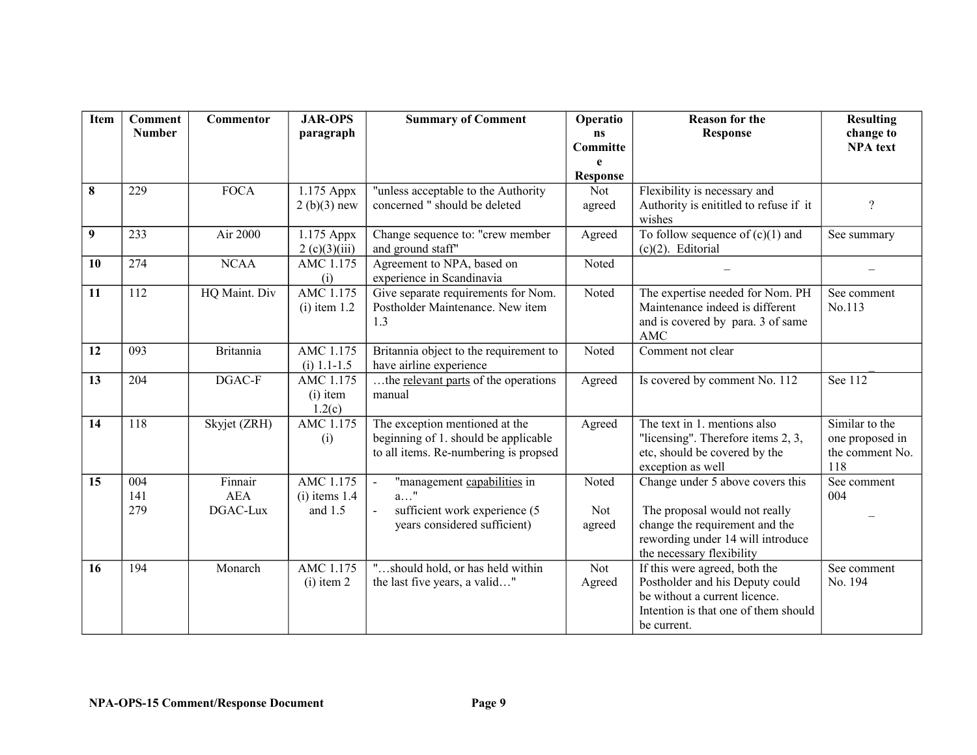| <b>Item</b> | <b>Comment</b>   | Commentor             | <b>JAR-OPS</b>               | <b>Summary of Comment</b>                               | Operatio              | <b>Reason for the</b>                                            | <b>Resulting</b>             |
|-------------|------------------|-----------------------|------------------------------|---------------------------------------------------------|-----------------------|------------------------------------------------------------------|------------------------------|
|             | <b>Number</b>    |                       | paragraph                    |                                                         | <b>ns</b><br>Committe | <b>Response</b>                                                  | change to<br><b>NPA</b> text |
|             |                  |                       |                              |                                                         | e                     |                                                                  |                              |
|             |                  |                       |                              |                                                         | <b>Response</b>       |                                                                  |                              |
| 8           | 229              | <b>FOCA</b>           | 1.175 Appx                   | "unless acceptable to the Authority                     | Not                   | Flexibility is necessary and                                     |                              |
|             |                  |                       | $2(b)(3)$ new                | concerned " should be deleted                           | agreed                | Authority is enititled to refuse if it<br>wishes                 | $\overline{?}$               |
| 9           | 233              | Air 2000              | 1.175 Appx                   | Change sequence to: "crew member                        | Agreed                | To follow sequence of $(c)(1)$ and                               | See summary                  |
|             | 274              | <b>NCAA</b>           | 2 (c)(3)(iii)                | and ground staff"                                       | Noted                 | $(c)(2)$ . Editorial                                             |                              |
| 10          |                  |                       | AMC 1.175<br>(i)             | Agreement to NPA, based on<br>experience in Scandinavia |                       |                                                                  |                              |
| 11          | 112              | HQ Maint. Div         | AMC 1.175                    | Give separate requirements for Nom.                     | Noted                 | The expertise needed for Nom. PH                                 | See comment                  |
|             |                  |                       | $(i)$ item 1.2               | Postholder Maintenance. New item                        |                       | Maintenance indeed is different                                  | No.113                       |
|             |                  |                       |                              | 1.3                                                     |                       | and is covered by para. 3 of same<br>AMC                         |                              |
| 12          | 093              | <b>Britannia</b>      | AMC 1.175                    | Britannia object to the requirement to                  | Noted                 | Comment not clear                                                |                              |
|             |                  |                       | $(i)$ 1.1-1.5                | have airline experience                                 |                       |                                                                  |                              |
| 13          | 204              | DGAC-F                | AMC 1.175<br>$(i)$ item      | the relevant parts of the operations<br>manual          | Agreed                | Is covered by comment No. 112                                    | See 112                      |
|             |                  |                       | 1.2(c)                       |                                                         |                       |                                                                  |                              |
| 14          | $\overline{118}$ | Skyjet (ZRH)          | AMC 1.175                    | The exception mentioned at the                          | Agreed                | The text in 1, mentions also                                     | Similar to the               |
|             |                  |                       | (i)                          | beginning of 1. should be applicable                    |                       | "licensing". Therefore items 2, 3,                               | one proposed in              |
|             |                  |                       |                              | to all items. Re-numbering is propsed                   |                       | etc, should be covered by the                                    | the comment No.              |
|             |                  |                       |                              |                                                         |                       | exception as well                                                | 118                          |
| 15          | 004<br>141       | Finnair<br><b>AEA</b> | AMC 1.175<br>$(i)$ items 1.4 | "management capabilities in<br>$\blacksquare$<br>$a$ "  | Noted                 | Change under 5 above covers this                                 | See comment<br>004           |
|             | 279              | DGAC-Lux              | and $1.5$                    | sufficient work experience (5<br>$\overline{a}$         | <b>Not</b>            | The proposal would not really                                    |                              |
|             |                  |                       |                              | years considered sufficient)                            | agreed                | change the requirement and the                                   |                              |
|             |                  |                       |                              |                                                         |                       | rewording under 14 will introduce                                |                              |
|             |                  |                       |                              |                                                         |                       | the necessary flexibility                                        |                              |
| 16          | 194              | Monarch               | AMC 1.175                    | "should hold, or has held within                        | Not                   | If this were agreed, both the                                    | See comment                  |
|             |                  |                       | $(i)$ item 2                 | the last five years, a valid"                           | Agreed                | Postholder and his Deputy could<br>be without a current licence. | No. 194                      |
|             |                  |                       |                              |                                                         |                       | Intention is that one of them should                             |                              |
|             |                  |                       |                              |                                                         |                       | be current.                                                      |                              |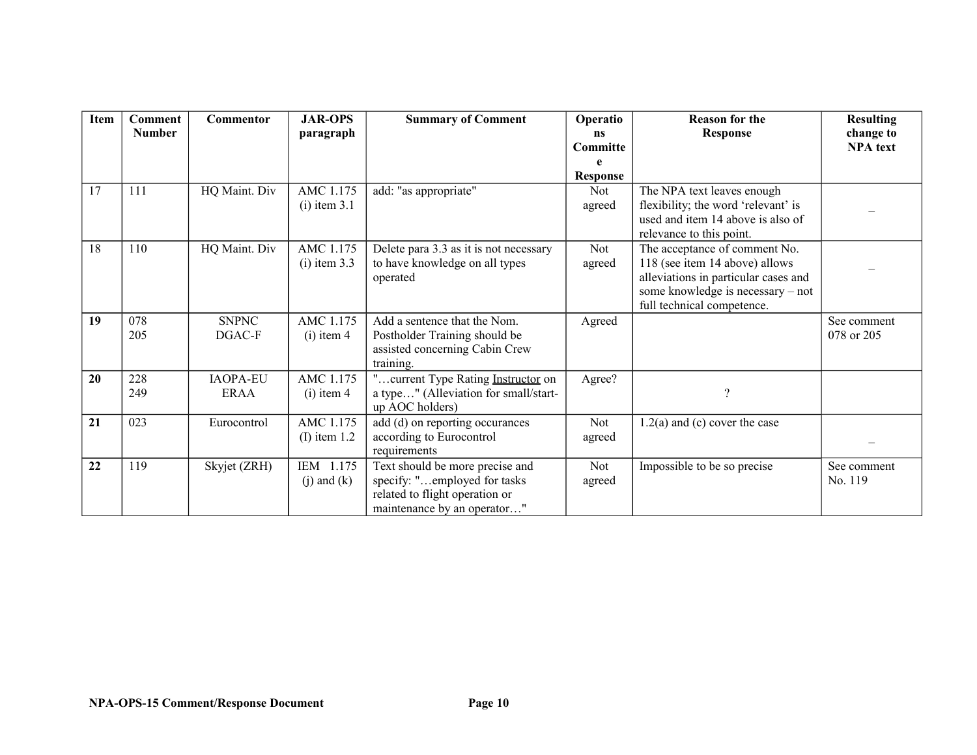| Item | <b>Comment</b> | Commentor       | <b>JAR-OPS</b>  | <b>Summary of Comment</b>                   | Operatio        | <b>Reason for the</b>                | <b>Resulting</b> |
|------|----------------|-----------------|-----------------|---------------------------------------------|-----------------|--------------------------------------|------------------|
|      | <b>Number</b>  |                 | paragraph       |                                             | ns              | <b>Response</b>                      | change to        |
|      |                |                 |                 |                                             | Committe        |                                      | <b>NPA</b> text  |
|      |                |                 |                 |                                             | e               |                                      |                  |
|      |                |                 |                 |                                             | <b>Response</b> |                                      |                  |
| 17   | 111            | HQ Maint. Div   | AMC 1.175       | add: "as appropriate"                       | Not             | The NPA text leaves enough           |                  |
|      |                |                 | $(i)$ item 3.1  |                                             | agreed          | flexibility; the word 'relevant' is  |                  |
|      |                |                 |                 |                                             |                 | used and item 14 above is also of    |                  |
|      |                |                 |                 |                                             |                 | relevance to this point.             |                  |
| 18   | 110            | HQ Maint. Div   | AMC 1.175       | Delete para 3.3 as it is not necessary      | Not             | The acceptance of comment No.        |                  |
|      |                |                 | $(i)$ item 3.3  | to have knowledge on all types              | agreed          | 118 (see item 14 above) allows       |                  |
|      |                |                 |                 | operated                                    |                 | alleviations in particular cases and |                  |
|      |                |                 |                 |                                             |                 | some knowledge is necessary - not    |                  |
|      | 078            | <b>SNPNC</b>    | AMC 1.175       |                                             |                 | full technical competence.           |                  |
| 19   |                | DGAC-F          |                 | Add a sentence that the Nom.                | Agreed          |                                      | See comment      |
|      | 205            |                 | $(i)$ item 4    | Postholder Training should be               |                 |                                      | 078 or 205       |
|      |                |                 |                 | assisted concerning Cabin Crew<br>training. |                 |                                      |                  |
| 20   | 228            | <b>IAOPA-EU</b> | AMC 1.175       | "current Type Rating Instructor on          | Agree?          |                                      |                  |
|      | 249            | <b>ERAA</b>     | $(i)$ item 4    | a type" (Alleviation for small/start-       |                 | $\gamma$                             |                  |
|      |                |                 |                 | up AOC holders)                             |                 |                                      |                  |
| 21   | 023            | Eurocontrol     | AMC 1.175       | add (d) on reporting occurances             | Not             | $1.2(a)$ and (c) cover the case      |                  |
|      |                |                 | $(I)$ item 1.2  | according to Eurocontrol                    | agreed          |                                      |                  |
|      |                |                 |                 | requirements                                |                 |                                      |                  |
| 22   | 119            | Skyjet (ZRH)    | IEM 1.175       | Text should be more precise and             | Not             | Impossible to be so precise          | See comment      |
|      |                |                 | $(j)$ and $(k)$ | specify: "employed for tasks                | agreed          |                                      | No. 119          |
|      |                |                 |                 | related to flight operation or              |                 |                                      |                  |
|      |                |                 |                 | maintenance by an operator"                 |                 |                                      |                  |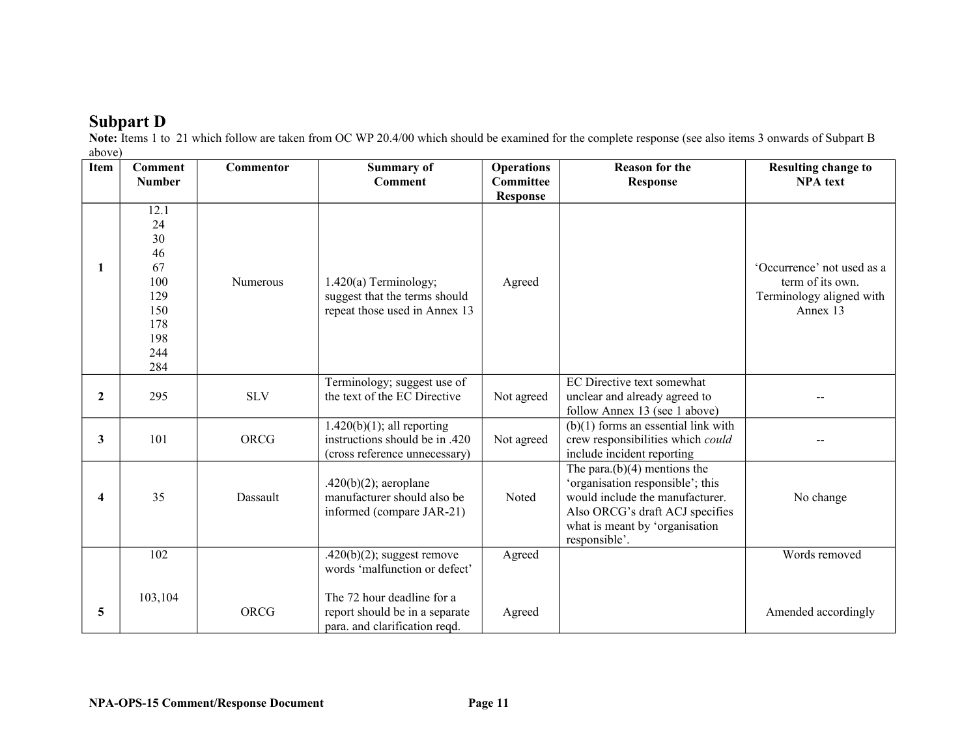## **Subpart D**

**Note:** Items 1 to 21 which follow are taken from OC WP 20.4/00 which should be examined for the complete response (see also items 3 onwards of Subpart B above)

| 100000<br><b>Item</b>   | Comment<br><b>Number</b>                                                      | Commentor   | <b>Summary of</b><br><b>Comment</b>                                                              | <b>Operations</b><br><b>Committee</b><br><b>Response</b> | <b>Reason for the</b><br><b>Response</b>                                                                                                                                                     | <b>Resulting change to</b><br><b>NPA</b> text                                          |
|-------------------------|-------------------------------------------------------------------------------|-------------|--------------------------------------------------------------------------------------------------|----------------------------------------------------------|----------------------------------------------------------------------------------------------------------------------------------------------------------------------------------------------|----------------------------------------------------------------------------------------|
| 1                       | 12.1<br>24<br>30<br>46<br>67<br>100<br>129<br>150<br>178<br>198<br>244<br>284 | Numerous    | $1.420(a)$ Terminology;<br>suggest that the terms should<br>repeat those used in Annex 13        | Agreed                                                   |                                                                                                                                                                                              | 'Occurrence' not used as a<br>term of its own.<br>Terminology aligned with<br>Annex 13 |
| $\mathbf{2}$            | 295                                                                           | <b>SLV</b>  | Terminology; suggest use of<br>the text of the EC Directive                                      | Not agreed                                               | EC Directive text somewhat<br>unclear and already agreed to<br>follow Annex 13 (see 1 above)                                                                                                 |                                                                                        |
| 3                       | 101                                                                           | <b>ORCG</b> | $1.420(b)(1)$ ; all reporting<br>instructions should be in .420<br>(cross reference unnecessary) | Not agreed                                               | $(b)(1)$ forms an essential link with<br>crew responsibilities which could<br>include incident reporting                                                                                     |                                                                                        |
| $\overline{\mathbf{4}}$ | 35                                                                            | Dassault    | $.420(b)(2)$ ; aeroplane<br>manufacturer should also be<br>informed (compare JAR-21)             | Noted                                                    | The para. $(b)(4)$ mentions the<br>'organisation responsible'; this<br>would include the manufacturer.<br>Also ORCG's draft ACJ specifies<br>what is meant by 'organisation<br>responsible'. | No change                                                                              |
|                         | 102                                                                           |             | $.420(b)(2)$ ; suggest remove<br>words 'malfunction or defect'                                   | Agreed                                                   |                                                                                                                                                                                              | Words removed                                                                          |
| 5                       | 103,104                                                                       | ORCG        | The 72 hour deadline for a<br>report should be in a separate<br>para. and clarification reqd.    | Agreed                                                   |                                                                                                                                                                                              | Amended accordingly                                                                    |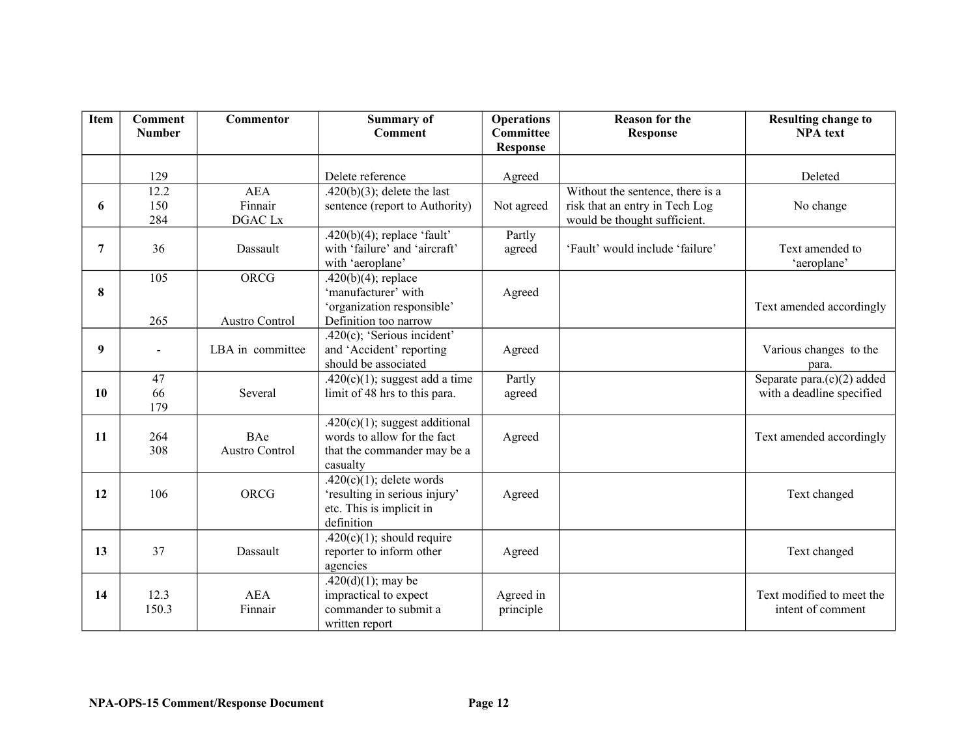| <b>Item</b> | <b>Comment</b><br><b>Number</b> | Commentor             | <b>Summary of</b><br><b>Comment</b>                                              | <b>Operations</b><br><b>Committee</b><br><b>Response</b> | <b>Reason for the</b><br><b>Response</b> | <b>Resulting change to</b><br><b>NPA</b> text |
|-------------|---------------------------------|-----------------------|----------------------------------------------------------------------------------|----------------------------------------------------------|------------------------------------------|-----------------------------------------------|
|             |                                 |                       |                                                                                  |                                                          |                                          |                                               |
|             | 129                             |                       | Delete reference                                                                 | Agreed                                                   |                                          | Deleted                                       |
|             | 12.2                            | <b>AEA</b>            | $.420(b)(3)$ ; delete the last                                                   |                                                          | Without the sentence, there is a         |                                               |
| 6           | 150                             | Finnair               | sentence (report to Authority)                                                   | Not agreed                                               | risk that an entry in Tech Log           | No change                                     |
|             | 284                             | DGAC Lx               |                                                                                  |                                                          | would be thought sufficient.             |                                               |
| 7           | 36                              | Dassault              | .420(b)(4); replace 'fault'<br>with 'failure' and 'aircraft'<br>with 'aeroplane' | Partly<br>agreed                                         | 'Fault' would include 'failure'          | Text amended to<br>'aeroplane'                |
|             | 105                             | ORCG                  | $.420(b)(4)$ ; replace                                                           |                                                          |                                          |                                               |
| 8           |                                 |                       | 'manufacturer' with                                                              | Agreed                                                   |                                          |                                               |
|             |                                 |                       | 'organization responsible'                                                       |                                                          |                                          | Text amended accordingly                      |
|             | 265                             | <b>Austro Control</b> | Definition too narrow                                                            |                                                          |                                          |                                               |
|             |                                 |                       | .420 $(c)$ ; 'Serious incident'                                                  |                                                          |                                          |                                               |
| 9           | $\blacksquare$                  | LBA in committee      | and 'Accident' reporting<br>should be associated                                 | Agreed                                                   |                                          | Various changes to the                        |
|             | 47                              |                       | $.420(c)(1)$ ; suggest add a time                                                | Partly                                                   |                                          | para.<br>Separate para. $(c)(2)$ added        |
| 10          | 66                              | Several               | limit of 48 hrs to this para.                                                    | agreed                                                   |                                          | with a deadline specified                     |
|             | 179                             |                       |                                                                                  |                                                          |                                          |                                               |
|             |                                 |                       | $.420(c)(1)$ ; suggest additional                                                |                                                          |                                          |                                               |
| 11          | 264                             | BAe                   | words to allow for the fact                                                      | Agreed                                                   |                                          | Text amended accordingly                      |
|             | 308                             | <b>Austro Control</b> | that the commander may be a                                                      |                                                          |                                          |                                               |
|             |                                 |                       | casualty<br>.420(c)(1); delete words                                             |                                                          |                                          |                                               |
| 12          | 106                             | <b>ORCG</b>           | 'resulting in serious injury'                                                    | Agreed                                                   |                                          | Text changed                                  |
|             |                                 |                       | etc. This is implicit in                                                         |                                                          |                                          |                                               |
|             |                                 |                       | definition                                                                       |                                                          |                                          |                                               |
|             |                                 |                       | .420(c)(1); should require                                                       |                                                          |                                          |                                               |
| 13          | 37                              | Dassault              | reporter to inform other                                                         | Agreed                                                   |                                          | Text changed                                  |
|             |                                 |                       | agencies                                                                         |                                                          |                                          |                                               |
|             |                                 |                       | $.420(d)(1)$ ; may be                                                            |                                                          |                                          |                                               |
| 14          | 12.3<br>150.3                   | <b>AEA</b>            | impractical to expect<br>commander to submit a                                   | Agreed in                                                |                                          | Text modified to meet the                     |
|             |                                 | Finnair               | written report                                                                   | principle                                                |                                          | intent of comment                             |
|             |                                 |                       |                                                                                  |                                                          |                                          |                                               |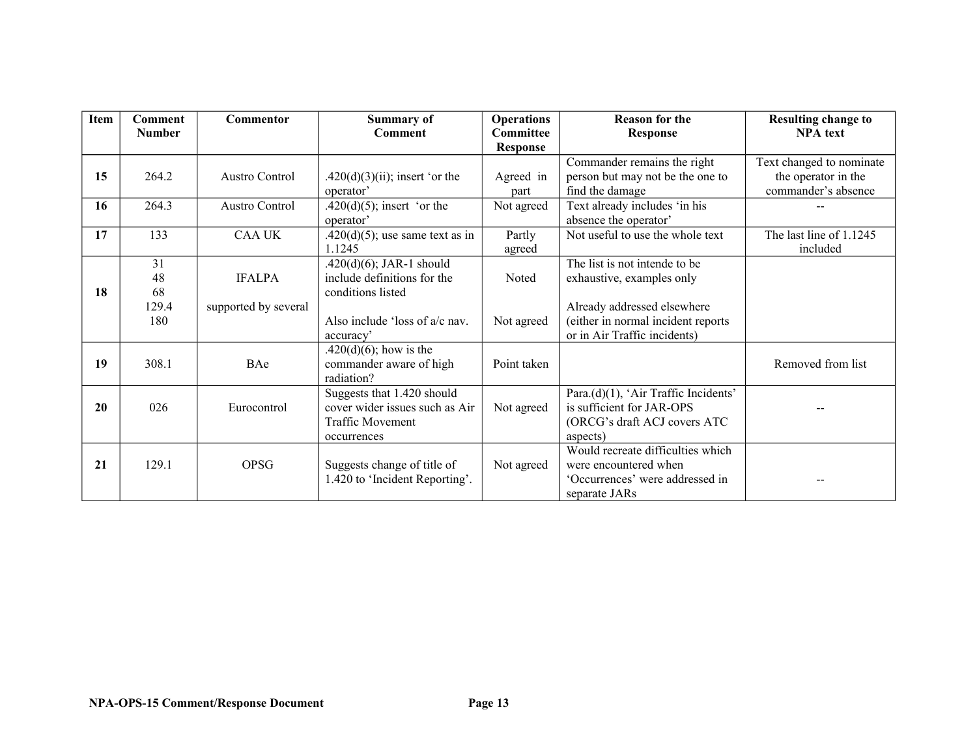| <b>Item</b> | <b>Comment</b><br><b>Number</b> | Commentor             | <b>Summary of</b><br>Comment       | <b>Operations</b><br><b>Committee</b> | <b>Reason for the</b><br><b>Response</b> | <b>Resulting change to</b><br><b>NPA</b> text |
|-------------|---------------------------------|-----------------------|------------------------------------|---------------------------------------|------------------------------------------|-----------------------------------------------|
|             |                                 |                       |                                    | <b>Response</b>                       |                                          |                                               |
|             |                                 |                       |                                    |                                       | Commander remains the right              | Text changed to nominate                      |
| 15          | 264.2                           | <b>Austro Control</b> | $.420(d)(3)(ii)$ ; insert 'or the  | Agreed in                             | person but may not be the one to         | the operator in the                           |
|             |                                 |                       | operator'                          | part                                  | find the damage                          | commander's absence                           |
| 16          | 264.3                           | Austro Control        | $.420(d)(5)$ ; insert 'or the      | Not agreed                            | Text already includes 'in his            |                                               |
|             |                                 |                       | operator <sup>3</sup>              |                                       | absence the operator'                    |                                               |
| 17          | 133                             | <b>CAA UK</b>         | $.420(d)(5)$ ; use same text as in | Partly                                | Not useful to use the whole text         | The last line of 1.1245                       |
|             |                                 |                       | 1.1245                             | agreed                                |                                          | included                                      |
|             | 31                              |                       | $.420(d)(6)$ ; JAR-1 should        |                                       | The list is not intende to be            |                                               |
|             | 48                              | <b>IFALPA</b>         | include definitions for the        | <b>Noted</b>                          | exhaustive, examples only                |                                               |
| 18          | 68                              |                       | conditions listed                  |                                       |                                          |                                               |
|             | 129.4                           | supported by several  |                                    |                                       | Already addressed elsewhere              |                                               |
|             | 180                             |                       | Also include 'loss of a/c nav.     | Not agreed                            | (either in normal incident reports       |                                               |
|             |                                 |                       | accuracy'                          |                                       | or in Air Traffic incidents)             |                                               |
|             |                                 |                       | .420 $(d)(6)$ ; how is the         |                                       |                                          |                                               |
| 19          | 308.1                           | BAe                   | commander aware of high            | Point taken                           |                                          | Removed from list                             |
|             |                                 |                       | radiation?                         |                                       |                                          |                                               |
|             |                                 |                       | Suggests that 1.420 should         |                                       | Para.(d)(1), 'Air Traffic Incidents'     |                                               |
| 20          | 026                             | Eurocontrol           | cover wider issues such as Air     | Not agreed                            | is sufficient for JAR-OPS                |                                               |
|             |                                 |                       | <b>Traffic Movement</b>            |                                       | (ORCG's draft ACJ covers ATC             |                                               |
|             |                                 |                       | occurrences                        |                                       | aspects)                                 |                                               |
|             |                                 |                       |                                    |                                       | Would recreate difficulties which        |                                               |
| 21          | 129.1                           | <b>OPSG</b>           | Suggests change of title of        | Not agreed                            | were encountered when                    |                                               |
|             |                                 |                       | 1.420 to 'Incident Reporting'.     |                                       | 'Occurrences' were addressed in          |                                               |
|             |                                 |                       |                                    |                                       | separate JARs                            |                                               |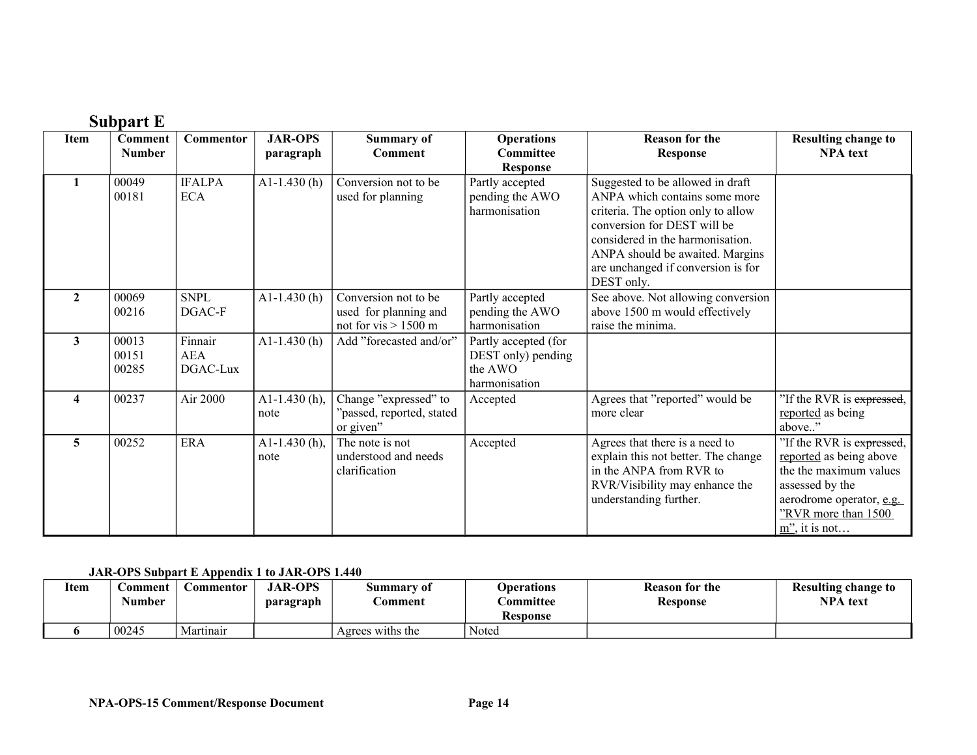|                         | <b>Subpart E</b>         |                                   |                             |                                                                         |                                                                        |                                                                                                                                                                                                                                                                   |                                                                                                                                                                          |
|-------------------------|--------------------------|-----------------------------------|-----------------------------|-------------------------------------------------------------------------|------------------------------------------------------------------------|-------------------------------------------------------------------------------------------------------------------------------------------------------------------------------------------------------------------------------------------------------------------|--------------------------------------------------------------------------------------------------------------------------------------------------------------------------|
| Item                    | Comment<br><b>Number</b> | Commentor                         | <b>JAR-OPS</b><br>paragraph | <b>Summary of</b><br><b>Comment</b>                                     | <b>Operations</b><br><b>Committee</b><br><b>Response</b>               | <b>Reason for the</b><br><b>Response</b>                                                                                                                                                                                                                          | <b>Resulting change to</b><br><b>NPA</b> text                                                                                                                            |
|                         | 00049<br>00181           | <b>IFALPA</b><br><b>ECA</b>       | A1-1.430 $(h)$              | Conversion not to be<br>used for planning                               | Partly accepted<br>pending the AWO<br>harmonisation                    | Suggested to be allowed in draft<br>ANPA which contains some more<br>criteria. The option only to allow<br>conversion for DEST will be<br>considered in the harmonisation.<br>ANPA should be awaited. Margins<br>are unchanged if conversion is for<br>DEST only. |                                                                                                                                                                          |
| $\mathbf{2}$            | 00069<br>00216           | <b>SNPL</b><br>DGAC-F             | $A1-1.430(h)$               | Conversion not to be<br>used for planning and<br>not for vis $> 1500$ m | Partly accepted<br>pending the AWO<br>harmonisation                    | See above. Not allowing conversion<br>above 1500 m would effectively<br>raise the minima.                                                                                                                                                                         |                                                                                                                                                                          |
| $\mathbf{3}$            | 00013<br>00151<br>00285  | Finnair<br><b>AEA</b><br>DGAC-Lux | $A1-1.430(h)$               | Add "forecasted and/or"                                                 | Partly accepted (for<br>DEST only) pending<br>the AWO<br>harmonisation |                                                                                                                                                                                                                                                                   |                                                                                                                                                                          |
| $\overline{\mathbf{4}}$ | 00237                    | Air 2000                          | A1-1.430 $(h)$ ,<br>note    | Change "expressed" to<br>"passed, reported, stated<br>or given"         | Accepted                                                               | Agrees that "reported" would be<br>more clear                                                                                                                                                                                                                     | "If the RVR is expressed,<br>reported as being<br>above"                                                                                                                 |
| 5                       | 00252                    | <b>ERA</b>                        | A1-1.430 $(h)$ ,<br>note    | The note is not<br>understood and needs<br>clarification                | Accepted                                                               | Agrees that there is a need to<br>explain this not better. The change<br>in the ANPA from RVR to<br>RVR/Visibility may enhance the<br>understanding further.                                                                                                      | "If the RVR is expressed,<br>reported as being above<br>the the maximum values<br>assessed by the<br>aerodrome operator, e.g.<br>"RVR more than 1500<br>$m$ ", it is not |

#### **JAR-OPS Subpart E Appendix 1 to JAR-OPS 1.440**

| <b>Item</b> | :omment<br>Number | $\mathcal L$ ommentor | <b>JAR-OPS</b><br>paragraph | Summary of<br><b>Comment</b> | <b>Operations</b><br><b>Committee</b> | <b>Reason for the</b><br><b>Response</b> | Resulting change to<br><b>NPA</b> text |
|-------------|-------------------|-----------------------|-----------------------------|------------------------------|---------------------------------------|------------------------------------------|----------------------------------------|
|             |                   |                       |                             |                              | <b>Response</b>                       |                                          |                                        |
|             | 00245             | Martinair             |                             | Agrees withs the             | Noted                                 |                                          |                                        |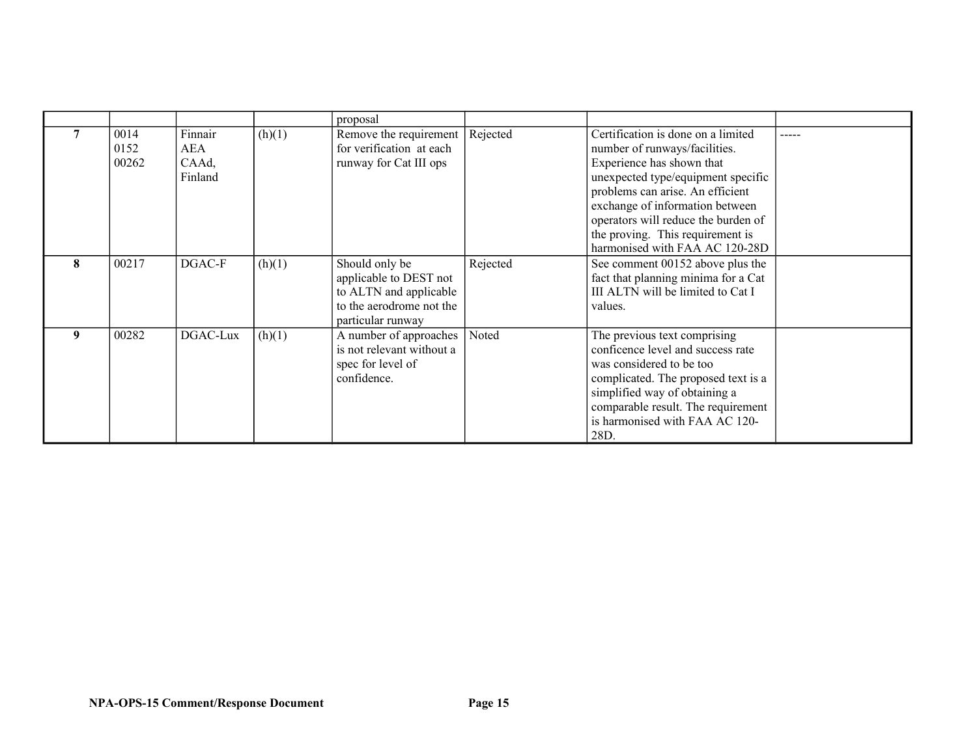|   |                       |                                    |        | proposal                                                                                                            |          |                                                                                                                                                                                                                                                                                                                            |  |
|---|-----------------------|------------------------------------|--------|---------------------------------------------------------------------------------------------------------------------|----------|----------------------------------------------------------------------------------------------------------------------------------------------------------------------------------------------------------------------------------------------------------------------------------------------------------------------------|--|
|   | 0014<br>0152<br>00262 | Finnair<br>AEA<br>CAAd,<br>Finland | (h)(1) | Remove the requirement<br>for verification at each<br>runway for Cat III ops                                        | Rejected | Certification is done on a limited<br>number of runways/facilities.<br>Experience has shown that<br>unexpected type/equipment specific<br>problems can arise. An efficient<br>exchange of information between<br>operators will reduce the burden of<br>the proving. This requirement is<br>harmonised with FAA AC 120-28D |  |
| 8 | 00217                 | DGAC-F                             | (h)(1) | Should only be<br>applicable to DEST not<br>to ALTN and applicable<br>to the aerodrome not the<br>particular runway | Rejected | See comment 00152 above plus the<br>fact that planning minima for a Cat<br>III ALTN will be limited to Cat I<br>values.                                                                                                                                                                                                    |  |
| 9 | 00282                 | DGAC-Lux                           | (h)(1) | A number of approaches<br>is not relevant without a<br>spec for level of<br>confidence.                             | Noted    | The previous text comprising<br>conficence level and success rate<br>was considered to be too<br>complicated. The proposed text is a<br>simplified way of obtaining a<br>comparable result. The requirement<br>is harmonised with FAA AC 120-<br>28D.                                                                      |  |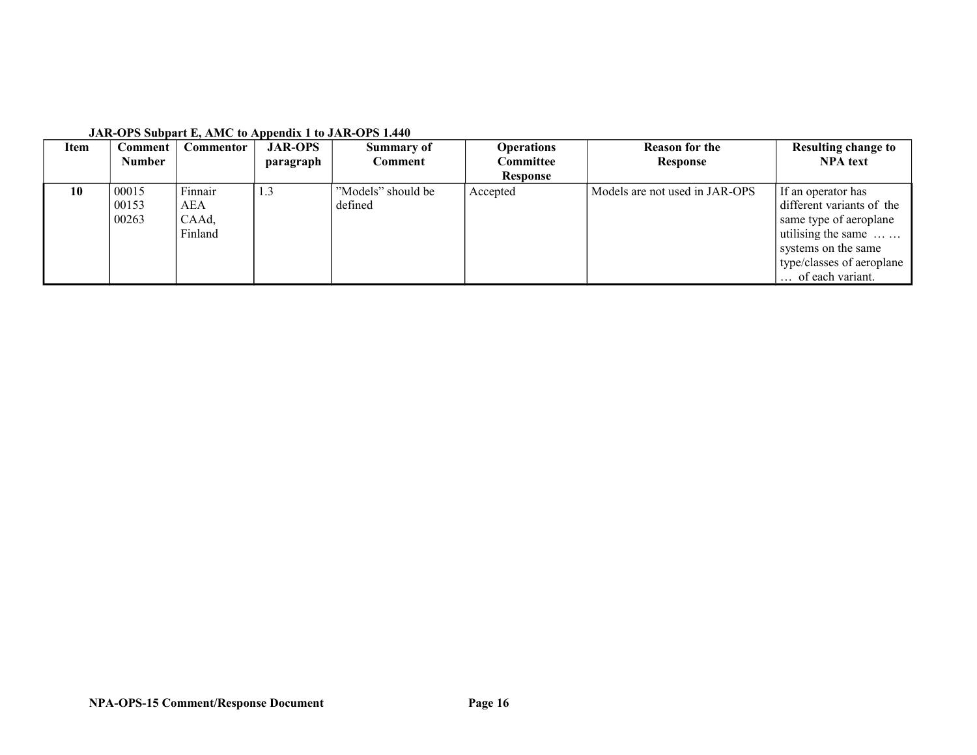| <b>Item</b> | Comment                 | Commentor                          | <b>JAR-OPS</b> | Summary of                    | <b>Operations</b> | <b>Reason for the</b>          | <b>Resulting change to</b>                                                                                                                          |
|-------------|-------------------------|------------------------------------|----------------|-------------------------------|-------------------|--------------------------------|-----------------------------------------------------------------------------------------------------------------------------------------------------|
|             | <b>Number</b>           |                                    | paragraph      | Comment                       | Committee         | Response                       | <b>NPA</b> text                                                                                                                                     |
|             |                         |                                    |                |                               | <b>Response</b>   |                                |                                                                                                                                                     |
| 10          | 00015<br>00153<br>00263 | Finnair<br>AEA<br>CAAd,<br>Finland | 1.3            | "Models" should be<br>defined | Accepted          | Models are not used in JAR-OPS | If an operator has<br>different variants of the<br>same type of aeroplane<br>utilising the same<br>systems on the same<br>type/classes of aeroplane |
|             |                         |                                    |                |                               |                   |                                | of each variant.                                                                                                                                    |

#### **JAR-OPS Subpart E, AMC to Appendix 1 to JAR-OPS 1.440**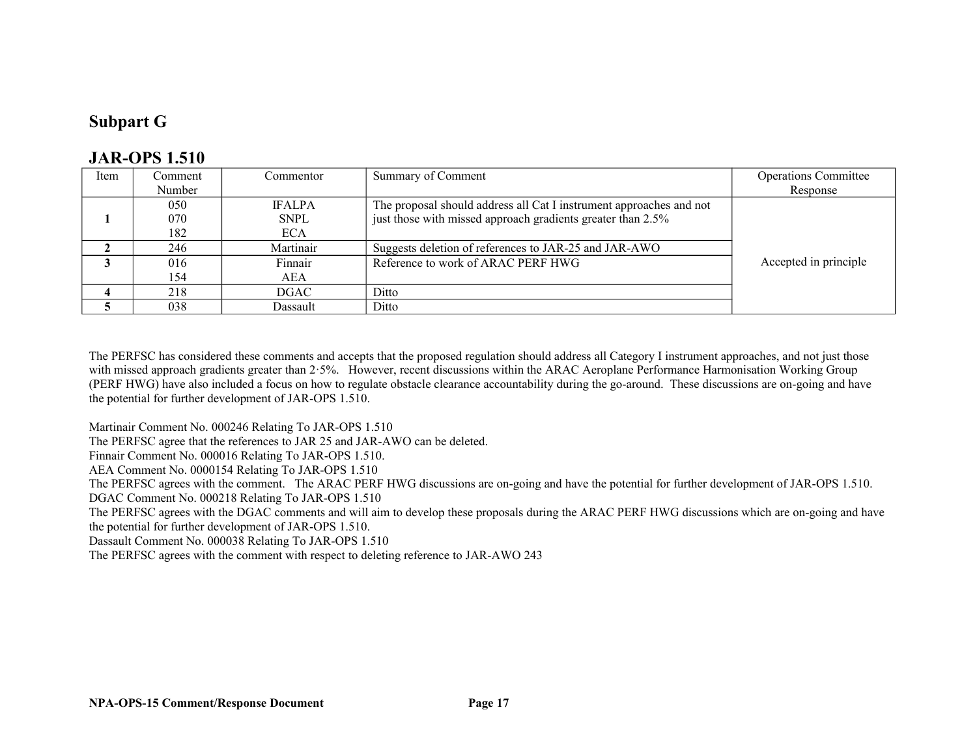### **Subpart G**

#### **JAR-OPS 1.510**

| Item | Comment | Commentor     | Summary of Comment                                                  | <b>Operations Committee</b> |
|------|---------|---------------|---------------------------------------------------------------------|-----------------------------|
|      | Number  |               |                                                                     | Response                    |
|      | 050     | <b>IFALPA</b> | The proposal should address all Cat I instrument approaches and not |                             |
|      | 070     | <b>SNPL</b>   | just those with missed approach gradients greater than 2.5%         |                             |
|      | 182     | <b>ECA</b>    |                                                                     |                             |
|      | 246     | Martinair     | Suggests deletion of references to JAR-25 and JAR-AWO               |                             |
|      | 016     | Finnair       | Reference to work of ARAC PERF HWG                                  | Accepted in principle       |
|      | 154     | AEA           |                                                                     |                             |
|      | 218     | DGAC          | Ditto                                                               |                             |
|      | 038     | Dassault      | Ditto                                                               |                             |

The PERFSC has considered these comments and accepts that the proposed regulation should address all Category I instrument approaches, and not just those with missed approach gradients greater than 2.5%. However, recent discussions within the ARAC Aeroplane Performance Harmonisation Working Group (PERF HWG) have also included a focus on how to regulate obstacle clearance accountability during the go-around. These discussions are on-going and have the potential for further development of JAR-OPS 1.510.

Martinair Comment No. 000246 Relating To JAR-OPS 1.510

The PERFSC agree that the references to JAR 25 and JAR-AWO can be deleted.

Finnair Comment No. 000016 Relating To JAR-OPS 1.510.

AEA Comment No. 0000154 Relating To JAR-OPS 1.510

The PERFSC agrees with the comment. The ARAC PERF HWG discussions are on-going and have the potential for further development of JAR-OPS 1.510.

DGAC Comment No. 000218 Relating To JAR-OPS 1.510

The PERFSC agrees with the DGAC comments and will aim to develop these proposals during the ARAC PERF HWG discussions which are on-going and have the potential for further development of JAR-OPS 1.510.

Dassault Comment No. 000038 Relating To JAR-OPS 1.510

The PERFSC agrees with the comment with respect to deleting reference to JAR-AWO 243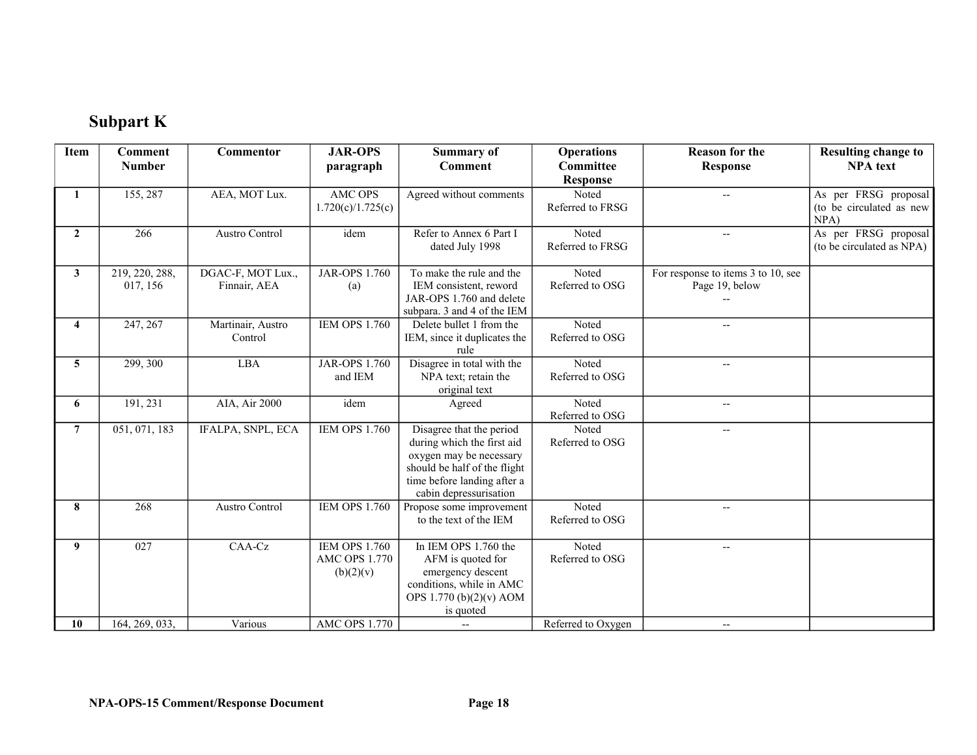# **Subpart K**

| <b>Item</b>    | <b>Comment</b> | Commentor         | <b>JAR-OPS</b>       | <b>Summary of</b>                                       | <b>Operations</b>        | <b>Reason for the</b>              | <b>Resulting change to</b>       |
|----------------|----------------|-------------------|----------------------|---------------------------------------------------------|--------------------------|------------------------------------|----------------------------------|
|                | <b>Number</b>  |                   | paragraph            | <b>Comment</b>                                          | Committee                | <b>Response</b>                    | <b>NPA</b> text                  |
|                |                |                   |                      |                                                         | <b>Response</b>          |                                    |                                  |
| 1              | 155, 287       | AEA, MOT Lux.     | <b>AMC OPS</b>       | Agreed without comments                                 | Noted                    | $\overline{a}$                     | As per FRSG proposal             |
|                |                |                   | 1.720(c)/1.725(c)    |                                                         | Referred to FRSG         |                                    | (to be circulated as new<br>NPA) |
| $\mathbf{2}$   | 266            | Austro Control    | idem                 | Refer to Annex 6 Part I                                 | Noted                    | $\overline{\phantom{m}}$           | As per FRSG proposal             |
|                |                |                   |                      | dated July 1998                                         | Referred to FRSG         |                                    | (to be circulated as NPA)        |
| $\mathbf{3}$   | 219, 220, 288, | DGAC-F, MOT Lux., | <b>JAR-OPS 1.760</b> | To make the rule and the                                | Noted                    | For response to items 3 to 10, see |                                  |
|                | 017, 156       | Finnair, AEA      | (a)                  | IEM consistent, reword                                  | Referred to OSG          | Page 19, below                     |                                  |
|                |                |                   |                      | JAR-OPS 1.760 and delete<br>subpara. 3 and 4 of the IEM |                          |                                    |                                  |
| 4              | 247, 267       | Martinair, Austro | <b>IEM OPS 1.760</b> | Delete bullet 1 from the                                | Noted                    | $\overline{\phantom{a}}$           |                                  |
|                |                | Control           |                      | IEM, since it duplicates the                            | Referred to OSG          |                                    |                                  |
|                |                |                   |                      | rule                                                    |                          |                                    |                                  |
| 5              | 299, 300       | <b>LBA</b>        | <b>JAR-OPS 1.760</b> | Disagree in total with the                              | Noted                    | $\overline{\phantom{a}}$           |                                  |
|                |                |                   | and IEM              | NPA text; retain the                                    | Referred to OSG          |                                    |                                  |
|                |                |                   |                      | original text                                           |                          |                                    |                                  |
| 6              | 191, 231       | AIA, Air 2000     | idem                 | Agreed                                                  | Noted                    | $\overline{\phantom{a}}$           |                                  |
|                |                |                   |                      |                                                         | Referred to OSG          |                                    |                                  |
| $\overline{7}$ | 051, 071, 183  | IFALPA, SNPL, ECA | <b>IEM OPS 1.760</b> | Disagree that the period<br>during which the first aid  | Noted<br>Referred to OSG | $\overline{\phantom{a}}$           |                                  |
|                |                |                   |                      | oxygen may be necessary                                 |                          |                                    |                                  |
|                |                |                   |                      | should be half of the flight                            |                          |                                    |                                  |
|                |                |                   |                      | time before landing after a                             |                          |                                    |                                  |
|                |                |                   |                      | cabin depressurisation                                  |                          |                                    |                                  |
| 8              | 268            | Austro Control    | <b>IEM OPS 1.760</b> | Propose some improvement                                | Noted                    | $\overline{\phantom{a}}$           |                                  |
|                |                |                   |                      | to the text of the IEM                                  | Referred to OSG          |                                    |                                  |
| 9              | 027            | CAA-Cz            | <b>IEM OPS 1.760</b> | In IEM OPS 1.760 the                                    | Noted                    | $\overline{\phantom{a}}$           |                                  |
|                |                |                   | <b>AMC OPS 1.770</b> | AFM is quoted for                                       | Referred to OSG          |                                    |                                  |
|                |                |                   | (b)(2)(v)            | emergency descent                                       |                          |                                    |                                  |
|                |                |                   |                      | conditions, while in AMC                                |                          |                                    |                                  |
|                |                |                   |                      | OPS 1.770 (b)(2)(v) AOM                                 |                          |                                    |                                  |
|                |                |                   |                      | is quoted                                               |                          |                                    |                                  |
| 10             | 164, 269, 033. | Various           | <b>AMC OPS 1.770</b> | $\overline{\phantom{a}}$                                | Referred to Oxygen       | $\overline{\phantom{a}}$           |                                  |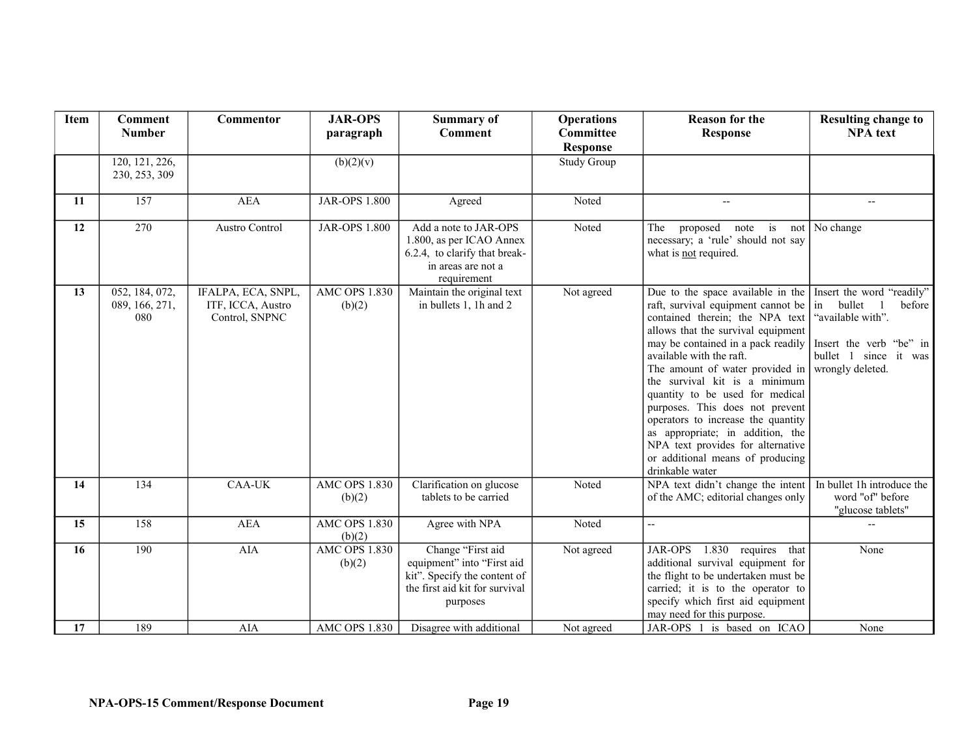| Item | <b>Comment</b>                          | <b>Commentor</b>                                          | <b>JAR-OPS</b>                 | <b>Summary of</b>                                                                                                             | <b>Operations</b>  | <b>Reason for the</b>                                                                                                                                                                                                                                                                                                                                                                                                                                                                                                              | <b>Resulting change to</b>                                                                                                                    |
|------|-----------------------------------------|-----------------------------------------------------------|--------------------------------|-------------------------------------------------------------------------------------------------------------------------------|--------------------|------------------------------------------------------------------------------------------------------------------------------------------------------------------------------------------------------------------------------------------------------------------------------------------------------------------------------------------------------------------------------------------------------------------------------------------------------------------------------------------------------------------------------------|-----------------------------------------------------------------------------------------------------------------------------------------------|
|      | <b>Number</b>                           |                                                           | paragraph                      | <b>Comment</b>                                                                                                                | Committee          | <b>Response</b>                                                                                                                                                                                                                                                                                                                                                                                                                                                                                                                    | <b>NPA</b> text                                                                                                                               |
|      |                                         |                                                           |                                |                                                                                                                               | <b>Response</b>    |                                                                                                                                                                                                                                                                                                                                                                                                                                                                                                                                    |                                                                                                                                               |
|      | 120, 121, 226,<br>230, 253, 309         |                                                           | (b)(2)(v)                      |                                                                                                                               | <b>Study Group</b> |                                                                                                                                                                                                                                                                                                                                                                                                                                                                                                                                    |                                                                                                                                               |
| 11   | 157                                     | <b>AEA</b>                                                | <b>JAR-OPS 1.800</b>           | Agreed                                                                                                                        | Noted              | $\overline{\phantom{a}}$                                                                                                                                                                                                                                                                                                                                                                                                                                                                                                           | --                                                                                                                                            |
| 12   | 270                                     | <b>Austro Control</b>                                     | <b>JAR-OPS 1.800</b>           | Add a note to JAR-OPS<br>1.800, as per ICAO Annex<br>6.2.4, to clarify that break-<br>in areas are not a<br>requirement       | Noted              | The<br>proposed<br>note is<br>not<br>necessary; a 'rule' should not say<br>what is <b>not</b> required.                                                                                                                                                                                                                                                                                                                                                                                                                            | No change                                                                                                                                     |
| 13   | 052, 184, 072,<br>089, 166, 271,<br>080 | IFALPA, ECA, SNPL,<br>ITF, ICCA, Austro<br>Control, SNPNC | <b>AMC OPS 1.830</b><br>(b)(2) | Maintain the original text<br>in bullets 1, 1h and 2                                                                          | Not agreed         | Due to the space available in the<br>raft, survival equipment cannot be<br>contained therein; the NPA text<br>allows that the survival equipment<br>may be contained in a pack readily<br>available with the raft.<br>The amount of water provided in<br>the survival kit is a minimum<br>quantity to be used for medical<br>purposes. This does not prevent<br>operators to increase the quantity<br>as appropriate; in addition, the<br>NPA text provides for alternative<br>or additional means of producing<br>drinkable water | Insert the word "readily"<br>in bullet<br>before<br>"available with".<br>Insert the verb "be" in<br>bullet 1 since it was<br>wrongly deleted. |
| 14   | 134                                     | <b>CAA-UK</b>                                             | <b>AMC OPS 1.830</b><br>(b)(2) | Clarification on glucose<br>tablets to be carried                                                                             | Noted              | NPA text didn't change the intent<br>of the AMC; editorial changes only                                                                                                                                                                                                                                                                                                                                                                                                                                                            | In bullet 1h introduce the<br>word "of" before<br>"glucose tablets"                                                                           |
| 15   | 158                                     | <b>AEA</b>                                                | <b>AMC OPS 1.830</b><br>(b)(2) | Agree with NPA                                                                                                                | Noted              | $\overline{\phantom{a}}$                                                                                                                                                                                                                                                                                                                                                                                                                                                                                                           |                                                                                                                                               |
| 16   | 190                                     | <b>AIA</b>                                                | <b>AMC OPS 1.830</b><br>(b)(2) | Change "First aid<br>equipment" into "First aid<br>kit". Specify the content of<br>the first aid kit for survival<br>purposes | Not agreed         | 1.830 requires that<br>JAR-OPS<br>additional survival equipment for<br>the flight to be undertaken must be<br>carried; it is to the operator to<br>specify which first aid equipment<br>may need for this purpose.                                                                                                                                                                                                                                                                                                                 | None                                                                                                                                          |
| 17   | 189                                     | <b>AIA</b>                                                | <b>AMC OPS 1.830</b>           | Disagree with additional                                                                                                      | Not agreed         | JAR-OPS 1 is based on ICAO                                                                                                                                                                                                                                                                                                                                                                                                                                                                                                         | None                                                                                                                                          |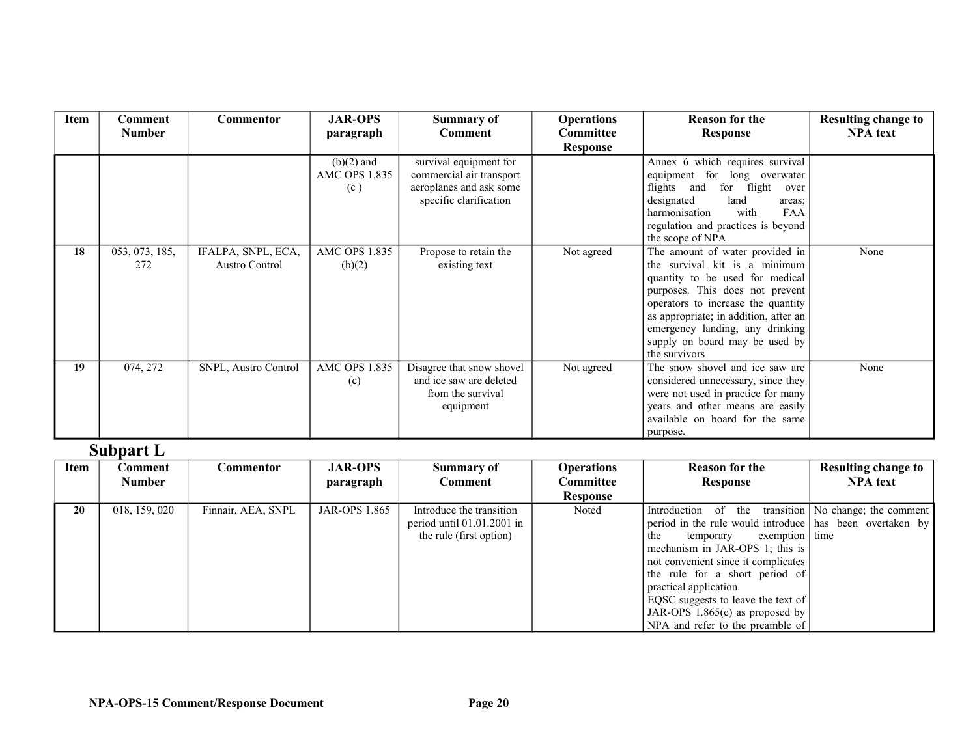| Item | <b>Comment</b>        | <b>Commentor</b>                            | <b>JAR-OPS</b>                              | <b>Summary of</b>                                                                                       | <b>Operations</b> | <b>Reason for the</b>                                                                                                                                                                                                                                                                                       | <b>Resulting change to</b> |
|------|-----------------------|---------------------------------------------|---------------------------------------------|---------------------------------------------------------------------------------------------------------|-------------------|-------------------------------------------------------------------------------------------------------------------------------------------------------------------------------------------------------------------------------------------------------------------------------------------------------------|----------------------------|
|      | <b>Number</b>         |                                             | paragraph                                   | Comment                                                                                                 | <b>Committee</b>  | Response                                                                                                                                                                                                                                                                                                    | <b>NPA</b> text            |
|      |                       |                                             |                                             |                                                                                                         | <b>Response</b>   |                                                                                                                                                                                                                                                                                                             |                            |
|      |                       |                                             | $(b)(2)$ and<br><b>AMC OPS 1.835</b><br>(c) | survival equipment for<br>commercial air transport<br>aeroplanes and ask some<br>specific clarification |                   | Annex 6 which requires survival<br>equipment for long overwater<br>flights and<br>for flight<br>over<br>designated<br>land<br>areas:<br>with<br><b>FAA</b><br>harmonisation<br>regulation and practices is beyond<br>the scope of NPA                                                                       |                            |
| 18   | 053, 073, 185,<br>272 | IFALPA, SNPL, ECA,<br><b>Austro Control</b> | <b>AMC OPS 1.835</b><br>(b)(2)              | Propose to retain the<br>existing text                                                                  | Not agreed        | The amount of water provided in<br>the survival kit is a minimum<br>quantity to be used for medical<br>purposes. This does not prevent<br>operators to increase the quantity<br>as appropriate; in addition, after an<br>emergency landing, any drinking<br>supply on board may be used by<br>the survivors | None                       |
| 19   | 074, 272              | <b>SNPL, Austro Control</b>                 | <b>AMC OPS 1.835</b><br>(c)                 | Disagree that snow shovel<br>and ice saw are deleted<br>from the survival<br>equipment                  | Not agreed        | The snow shovel and ice saw are<br>considered unnecessary, since they<br>were not used in practice for many<br>years and other means are easily<br>available on board for the same<br>purpose.                                                                                                              | None                       |

### **Subpart L**

| Item | Comment       | Commentor          | <b>JAR-OPS</b>       | <b>Summary of</b>            | <b>Operations</b> | <b>Reason for the</b>                                    | <b>Resulting change to</b>              |
|------|---------------|--------------------|----------------------|------------------------------|-------------------|----------------------------------------------------------|-----------------------------------------|
|      | <b>Number</b> |                    | paragraph            | Comment                      | Committee         | <b>Response</b>                                          | <b>NPA</b> text                         |
|      |               |                    |                      |                              | <b>Response</b>   |                                                          |                                         |
| 20   | 018, 159, 020 | Finnair, AEA, SNPL | <b>JAR-OPS 1.865</b> | Introduce the transition     | Noted             | Introduction of                                          | the transition   No change; the comment |
|      |               |                    |                      | period until $01.01.2001$ in |                   | period in the rule would introduce has been overtaken by |                                         |
|      |               |                    |                      | the rule (first option)      |                   | exemption   time<br>the<br>temporary                     |                                         |
|      |               |                    |                      |                              |                   | mechanism in JAR-OPS 1; this is                          |                                         |
|      |               |                    |                      |                              |                   | not convenient since it complicates                      |                                         |
|      |               |                    |                      |                              |                   | the rule for a short period of                           |                                         |
|      |               |                    |                      |                              |                   | practical application.                                   |                                         |
|      |               |                    |                      |                              |                   | EQSC suggests to leave the text of                       |                                         |
|      |               |                    |                      |                              |                   | JAR-OPS $1.865(e)$ as proposed by                        |                                         |
|      |               |                    |                      |                              |                   | NPA and refer to the preamble of                         |                                         |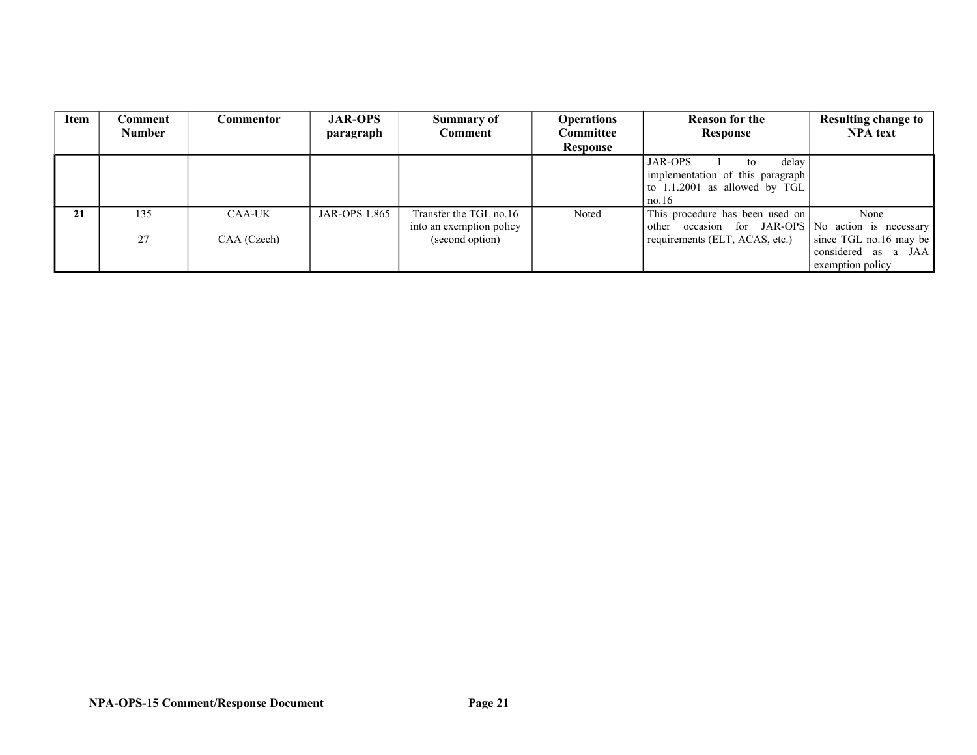| <b>Item</b> | Comment       | <b>Commentor</b> | <b>JAR-OPS</b>       | Summary of               | <b>Operations</b> | <b>Reason for the</b>                             | <b>Resulting change to</b> |
|-------------|---------------|------------------|----------------------|--------------------------|-------------------|---------------------------------------------------|----------------------------|
|             | <b>Number</b> |                  | paragraph            | Comment                  | <b>Committee</b>  | <b>Response</b>                                   | <b>NPA</b> text            |
|             |               |                  |                      |                          | Response          |                                                   |                            |
|             |               |                  |                      |                          |                   | delay<br><b>JAR-OPS</b><br>to                     |                            |
|             |               |                  |                      |                          |                   | implementation of this paragraph                  |                            |
|             |               |                  |                      |                          |                   | to $1.1.2001$ as allowed by TGL                   |                            |
|             |               |                  |                      |                          |                   | no.16                                             |                            |
| 21          | 135           | CAA-UK           | <b>JAR-OPS 1.865</b> | Transfer the TGL no.16   | Noted             | This procedure has been used on                   | None                       |
|             |               |                  |                      | into an exemption policy |                   | other occasion for JAR-OPS No action is necessary |                            |
|             | 27            | CAA (Czech)      |                      | (second option)          |                   | requirements (ELT, ACAS, etc.)                    | $ $ since TGL no.16 may be |
|             |               |                  |                      |                          |                   |                                                   | considered as a JAA        |
|             |               |                  |                      |                          |                   |                                                   | exemption policy           |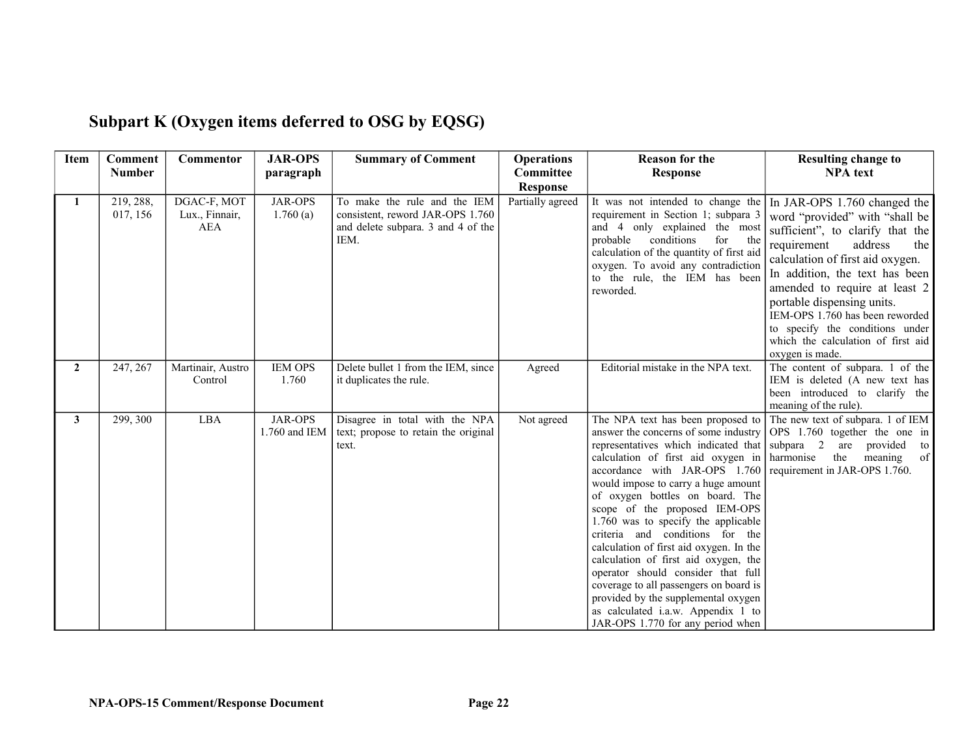| <b>Item</b>    | <b>Comment</b><br><b>Number</b> | Commentor                                   | <b>JAR-OPS</b><br>paragraph     | <b>Summary of Comment</b>                                                                                      | <b>Operations</b><br>Committee      | <b>Reason for the</b><br><b>Response</b>                                                                                                                                                                                                                                                                                                                                                                                                                                                                                                                                                                                                                           | <b>Resulting change to</b><br><b>NPA</b> text                                                                                                                                                                                                                                                                                                                                                           |
|----------------|---------------------------------|---------------------------------------------|---------------------------------|----------------------------------------------------------------------------------------------------------------|-------------------------------------|--------------------------------------------------------------------------------------------------------------------------------------------------------------------------------------------------------------------------------------------------------------------------------------------------------------------------------------------------------------------------------------------------------------------------------------------------------------------------------------------------------------------------------------------------------------------------------------------------------------------------------------------------------------------|---------------------------------------------------------------------------------------------------------------------------------------------------------------------------------------------------------------------------------------------------------------------------------------------------------------------------------------------------------------------------------------------------------|
| 1              | 219, 288,<br>017, 156           | DGAC-F, MOT<br>Lux., Finnair,<br><b>AEA</b> | <b>JAR-OPS</b><br>1.760(a)      | To make the rule and the IEM<br>consistent, reword JAR-OPS 1.760<br>and delete subpara. 3 and 4 of the<br>IEM. | <b>Response</b><br>Partially agreed | It was not intended to change the<br>requirement in Section 1; subpara 3<br>and 4 only explained the most<br>conditions<br>probable<br>for<br>the<br>calculation of the quantity of first aid<br>oxygen. To avoid any contradiction<br>to the rule, the IEM has been<br>reworded.                                                                                                                                                                                                                                                                                                                                                                                  | In JAR-OPS 1.760 changed the<br>word "provided" with "shall be<br>sufficient", to clarify that the<br>address<br>requirement<br>the<br>calculation of first aid oxygen.<br>In addition, the text has been<br>amended to require at least 2<br>portable dispensing units.<br>IEM-OPS 1.760 has been reworded<br>to specify the conditions under<br>which the calculation of first aid<br>oxygen is made. |
| $\overline{2}$ | 247, 267                        | Martinair, Austro<br>Control                | <b>IEM OPS</b><br>1.760         | Delete bullet 1 from the IEM, since<br>it duplicates the rule.                                                 | Agreed                              | Editorial mistake in the NPA text.                                                                                                                                                                                                                                                                                                                                                                                                                                                                                                                                                                                                                                 | The content of subpara. 1 of the<br>IEM is deleted (A new text has<br>been introduced to clarify the<br>meaning of the rule).                                                                                                                                                                                                                                                                           |
| 3              | 299, 300                        | <b>LBA</b>                                  | <b>JAR-OPS</b><br>1.760 and IEM | Disagree in total with the NPA<br>text; propose to retain the original<br>text.                                | Not agreed                          | The NPA text has been proposed to<br>answer the concerns of some industry<br>representatives which indicated that<br>calculation of first aid oxygen in<br>accordance with JAR-OPS 1.760<br>would impose to carry a huge amount<br>of oxygen bottles on board. The<br>scope of the proposed IEM-OPS<br>1.760 was to specify the applicable<br>criteria and conditions for the<br>calculation of first aid oxygen. In the<br>calculation of first aid oxygen, the<br>operator should consider that full<br>coverage to all passengers on board is<br>provided by the supplemental oxygen<br>as calculated i.a.w. Appendix 1 to<br>JAR-OPS 1.770 for any period when | The new text of subpara. 1 of IEM<br>OPS 1.760 together the one in<br>subpara 2<br>provided to<br>are<br>harmonise<br>$\circ$ f<br>meaning<br>the<br>requirement in JAR-OPS 1.760.                                                                                                                                                                                                                      |

# **Subpart K (Oxygen items deferred to OSG by EQSG)**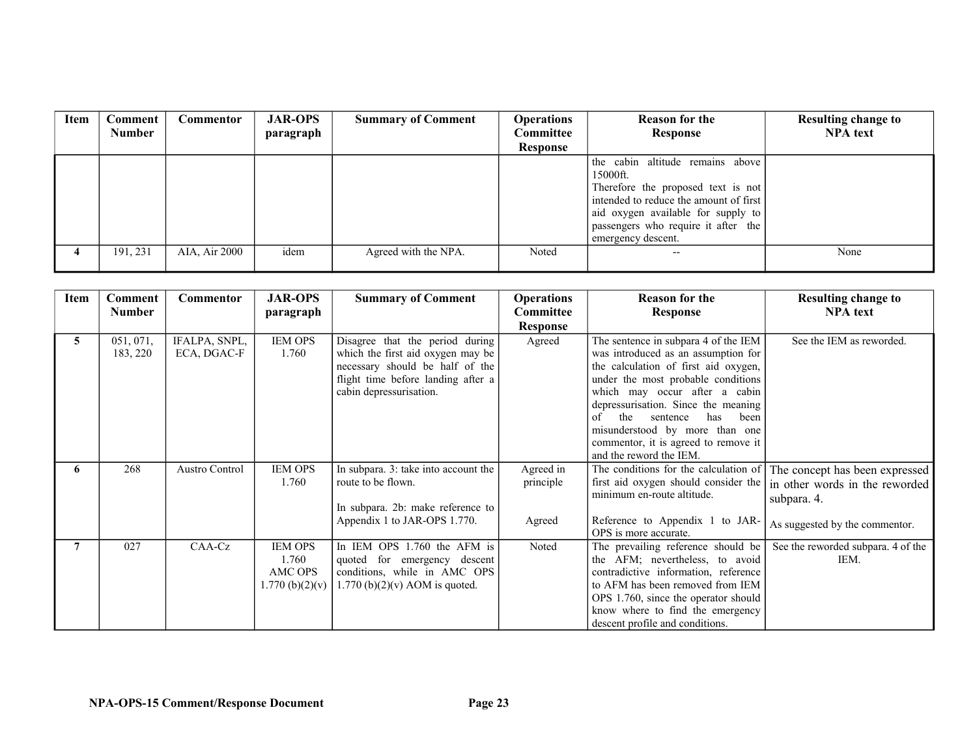| Item | Comment<br><b>Number</b> | Commentor     | <b>JAR-OPS</b><br>paragraph | <b>Summary of Comment</b> | <b>Operations</b><br>Committee | <b>Reason for the</b><br>Response      | <b>Resulting change to</b><br><b>NPA</b> text |
|------|--------------------------|---------------|-----------------------------|---------------------------|--------------------------------|----------------------------------------|-----------------------------------------------|
|      |                          |               |                             |                           | <b>Response</b>                |                                        |                                               |
|      |                          |               |                             |                           |                                | the cabin altitude remains above       |                                               |
|      |                          |               |                             |                           |                                | 15000ft.                               |                                               |
|      |                          |               |                             |                           |                                | Therefore the proposed text is not     |                                               |
|      |                          |               |                             |                           |                                | intended to reduce the amount of first |                                               |
|      |                          |               |                             |                           |                                | aid oxygen available for supply to     |                                               |
|      |                          |               |                             |                           |                                | passengers who require it after the    |                                               |
|      |                          |               |                             |                           |                                | emergency descent.                     |                                               |
|      | 191, 231                 | AIA, Air 2000 | idem                        | Agreed with the NPA.      | Noted                          | $- -$                                  | None                                          |
|      |                          |               |                             |                           |                                |                                        |                                               |

| Item | Comment               | <b>Commentor</b>             | <b>JAR-OPS</b>                                        | <b>Summary of Comment</b>                                                                                                                                                | <b>Operations</b>                | <b>Reason for the</b>                                                                                                                                                                                                                                                                                                                                                          | <b>Resulting change to</b>                                                                                        |
|------|-----------------------|------------------------------|-------------------------------------------------------|--------------------------------------------------------------------------------------------------------------------------------------------------------------------------|----------------------------------|--------------------------------------------------------------------------------------------------------------------------------------------------------------------------------------------------------------------------------------------------------------------------------------------------------------------------------------------------------------------------------|-------------------------------------------------------------------------------------------------------------------|
|      | <b>Number</b>         |                              | paragraph                                             |                                                                                                                                                                          | Committee                        | <b>Response</b>                                                                                                                                                                                                                                                                                                                                                                | <b>NPA</b> text                                                                                                   |
|      |                       |                              |                                                       |                                                                                                                                                                          | Response                         |                                                                                                                                                                                                                                                                                                                                                                                |                                                                                                                   |
| 5    | 051, 071,<br>183, 220 | IFALPA, SNPL,<br>ECA, DGAC-F | <b>IEM OPS</b><br>1.760                               | Disagree that the period during<br>which the first aid oxygen may be<br>necessary should be half of the<br>flight time before landing after a<br>cabin depressurisation. | Agreed                           | The sentence in subpara 4 of the IEM<br>was introduced as an assumption for<br>the calculation of first aid oxygen,<br>under the most probable conditions<br>which may occur after a cabin<br>depressurisation. Since the meaning<br>the<br>of<br>sentence<br>has<br>been<br>misunderstood by more than one<br>commentor, it is agreed to remove it<br>and the reword the IEM. | See the IEM as reworded.                                                                                          |
| 6    | 268                   | <b>Austro Control</b>        | <b>IEM OPS</b><br>1.760                               | In subpara. 3: take into account the<br>route to be flown.<br>In subpara. 2b: make reference to $\vert$<br>Appendix 1 to JAR-OPS 1.770.                                  | Agreed in<br>principle<br>Agreed | The conditions for the calculation of<br>first aid oxygen should consider the<br>minimum en-route altitude.<br>Reference to Appendix 1 to JAR-<br>OPS is more accurate.                                                                                                                                                                                                        | The concept has been expressed<br>in other words in the reworded<br>subpara. 4.<br>As suggested by the commentor. |
|      | 027                   | CAA-Cz                       | <b>IEM OPS</b><br>1.760<br>AMC OPS<br>1.770~(b)(2)(v) | In IEM OPS 1.760 the AFM is<br>quoted for emergency descent<br>conditions, while in AMC OPS<br>$1.770$ (b)(2)(v) AOM is quoted.                                          | Noted                            | The prevailing reference should be<br>the AFM; nevertheless, to avoid<br>contradictive information, reference<br>to AFM has been removed from IEM<br>OPS 1.760, since the operator should<br>know where to find the emergency<br>descent profile and conditions.                                                                                                               | See the reworded subpara. 4 of the<br>IEM.                                                                        |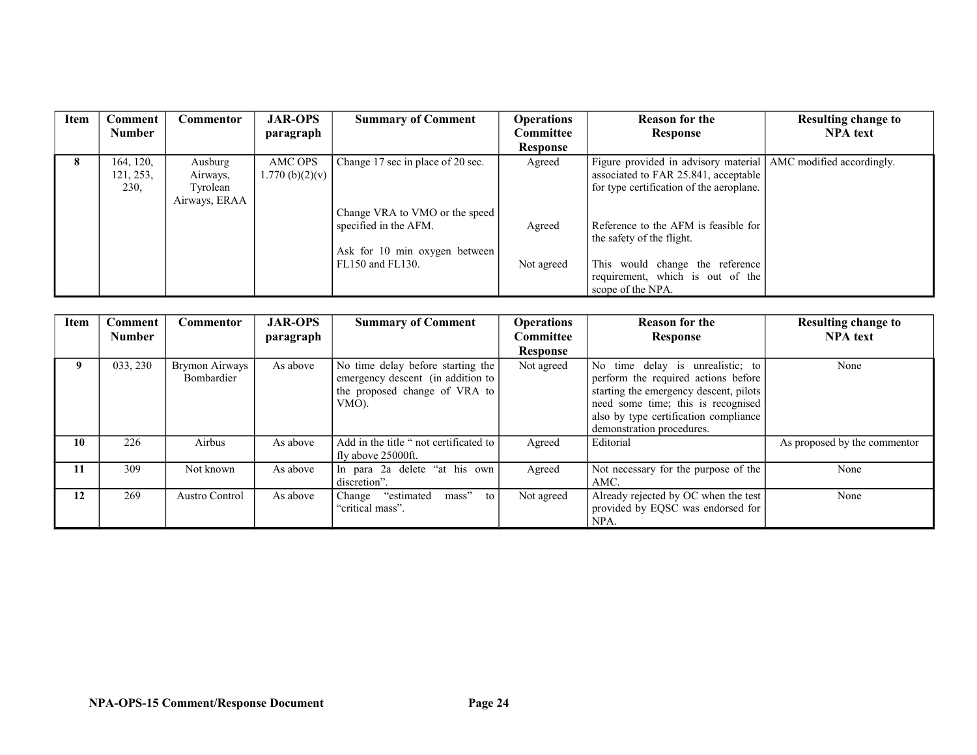| Item        | Comment                        | Commentor                                        | <b>JAR-OPS</b>             | <b>Summary of Comment</b>                                                                | <b>Operations</b> | <b>Reason for the</b>                                                                                                                                | <b>Resulting change to</b> |
|-------------|--------------------------------|--------------------------------------------------|----------------------------|------------------------------------------------------------------------------------------|-------------------|------------------------------------------------------------------------------------------------------------------------------------------------------|----------------------------|
|             | <b>Number</b>                  |                                                  | paragraph                  |                                                                                          | Committee         | Response                                                                                                                                             | <b>NPA</b> text            |
|             |                                |                                                  |                            |                                                                                          | <b>Response</b>   |                                                                                                                                                      |                            |
| $\mathbf o$ | 164, 120,<br>121, 253,<br>230. | Ausburg<br>Airways,<br>Tyrolean<br>Airways, ERAA | AMC OPS<br>1.770~(b)(2)(v) | Change 17 sec in place of 20 sec.                                                        | Agreed            | Figure provided in advisory material   AMC modified accordingly.<br>associated to FAR 25.841, acceptable<br>for type certification of the aeroplane. |                            |
|             |                                |                                                  |                            | Change VRA to VMO or the speed<br>specified in the AFM.<br>Ask for 10 min oxygen between | Agreed            | Reference to the AFM is feasible for<br>the safety of the flight.                                                                                    |                            |
|             |                                |                                                  |                            | FL150 and FL130.                                                                         | Not agreed        | This would change the reference<br>requirement, which is out of the<br>scope of the NPA.                                                             |                            |

| <b>Item</b> | Comment       | Commentor                    | <b>JAR-OPS</b> | <b>Summary of Comment</b>                                                                                        | <b>Operations</b> | <b>Reason for the</b>                                                                                                                                                                                                         | <b>Resulting change to</b>   |
|-------------|---------------|------------------------------|----------------|------------------------------------------------------------------------------------------------------------------|-------------------|-------------------------------------------------------------------------------------------------------------------------------------------------------------------------------------------------------------------------------|------------------------------|
|             | <b>Number</b> |                              | paragraph      |                                                                                                                  | <b>Committee</b>  | Response                                                                                                                                                                                                                      | <b>NPA</b> text              |
|             |               |                              |                |                                                                                                                  | Response          |                                                                                                                                                                                                                               |                              |
| 9           | 033, 230      | Brymon Airways<br>Bombardier | As above       | No time delay before starting the<br>emergency descent (in addition to<br>the proposed change of VRA to<br>VMO). | Not agreed        | No time delay is unrealistic; to<br>perform the required actions before<br>starting the emergency descent, pilots<br>need some time; this is recognised<br>also by type certification compliance<br>demonstration procedures. | None                         |
| 10          | 226           | Airbus                       | As above       | Add in the title " not certificated to<br>fly above 25000ft.                                                     | Agreed            | Editorial                                                                                                                                                                                                                     | As proposed by the commentor |
| 11          | 309           | Not known                    | As above       | In para 2a delete "at his own<br>discretion".                                                                    | Agreed            | Not necessary for the purpose of the<br>AMC.                                                                                                                                                                                  | None                         |
| 12          | 269           | Austro Control               | As above       | "estimated<br>mass"<br>to<br>Change<br>"critical mass".                                                          | Not agreed        | Already rejected by OC when the test<br>provided by EQSC was endorsed for<br>NPA.                                                                                                                                             | None                         |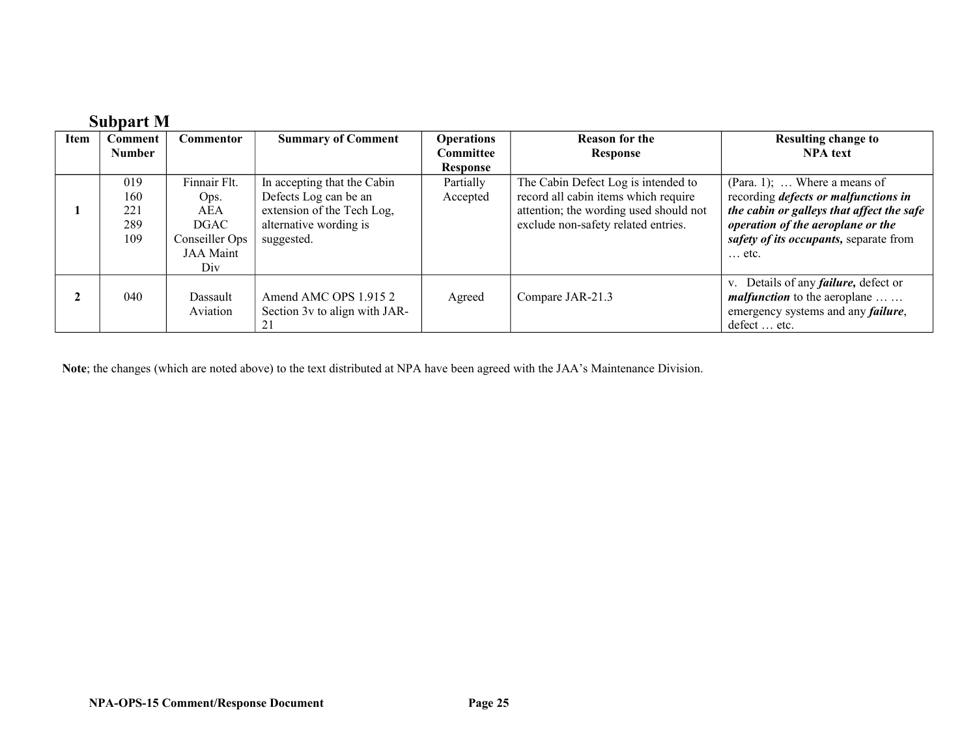|      | <b>Subpart M</b> |                  |                               |                   |                                        |                                              |
|------|------------------|------------------|-------------------------------|-------------------|----------------------------------------|----------------------------------------------|
| Item | <b>Comment</b>   | <b>Commentor</b> | <b>Summary of Comment</b>     | <b>Operations</b> | <b>Reason for the</b>                  | <b>Resulting change to</b>                   |
|      | <b>Number</b>    |                  |                               | Committee         | <b>Response</b>                        | <b>NPA</b> text                              |
|      |                  |                  |                               | <b>Response</b>   |                                        |                                              |
|      | 019              | Finnair Flt.     | In accepting that the Cabin   | Partially         | The Cabin Defect Log is intended to    | (Para. 1);  Where a means of                 |
|      | 160              | Ops.             | Defects Log can be an         | Accepted          | record all cabin items which require   | recording <i>defects or malfunctions in</i>  |
|      | 221              | AEA              | extension of the Tech Log,    |                   | attention; the wording used should not | the cabin or galleys that affect the safe    |
|      | 289              | <b>DGAC</b>      | alternative wording is        |                   | exclude non-safety related entries.    | operation of the aeroplane or the            |
|      | 109              | Conseiller Ops   | suggested.                    |                   |                                        | safety of its occupants, separate from       |
|      |                  | JAA Maint        |                               |                   |                                        | $\ldots$ etc.                                |
|      |                  | Div              |                               |                   |                                        |                                              |
|      |                  |                  |                               |                   |                                        | v. Details of any <i>failure</i> , defect or |
|      | 040              | Dassault         | Amend AMC OPS 1.9152          | Agreed            | Compare JAR-21.3                       | <i>malfunction</i> to the aeroplane          |
|      |                  | Aviation         | Section 3v to align with JAR- |                   |                                        | emergency systems and any <i>failure</i> ,   |
|      |                  |                  | 21                            |                   |                                        | defect  etc.                                 |

**Note**; the changes (which are noted above) to the text distributed at NPA have been agreed with the JAA's Maintenance Division.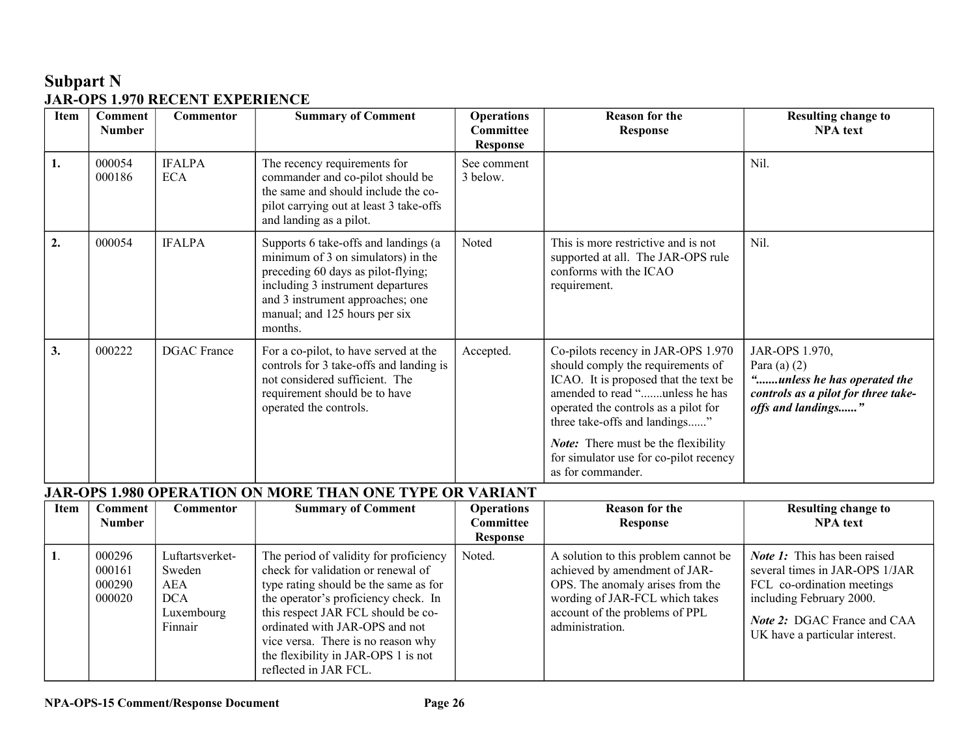### **Subpart N JAR-OPS 1.970 RECENT EXPERIENCE**

| Item | <b>Comment</b><br><b>Number</b> | <b>Commentor</b>            | <b>Summary of Comment</b>                                                                                                                                                                                                             | <b>Operations</b><br>Committee<br>Response | <b>Reason for the</b><br><b>Response</b>                                                                                                                                                                                    | <b>Resulting change to</b><br><b>NPA</b> text                                                                                |
|------|---------------------------------|-----------------------------|---------------------------------------------------------------------------------------------------------------------------------------------------------------------------------------------------------------------------------------|--------------------------------------------|-----------------------------------------------------------------------------------------------------------------------------------------------------------------------------------------------------------------------------|------------------------------------------------------------------------------------------------------------------------------|
| 1.   | 000054<br>000186                | <b>IFALPA</b><br><b>ECA</b> | The recency requirements for<br>commander and co-pilot should be<br>the same and should include the co-<br>pilot carrying out at least 3 take-offs<br>and landing as a pilot.                                                         | See comment<br>3 below.                    |                                                                                                                                                                                                                             | Nil.                                                                                                                         |
| 2.   | 000054                          | <b>IFALPA</b>               | Supports 6 take-offs and landings (a<br>minimum of 3 on simulators) in the<br>preceding 60 days as pilot-flying;<br>including 3 instrument departures<br>and 3 instrument approaches; one<br>manual; and 125 hours per six<br>months. | Noted                                      | This is more restrictive and is not<br>supported at all. The JAR-OPS rule<br>conforms with the ICAO<br>requirement.                                                                                                         | Nil.                                                                                                                         |
| 3.   | 000222                          | <b>DGAC</b> France          | For a co-pilot, to have served at the<br>controls for 3 take-offs and landing is<br>not considered sufficient. The<br>requirement should be to have<br>operated the controls.                                                         | Accepted.                                  | Co-pilots recency in JAR-OPS 1.970<br>should comply the requirements of<br>ICAO. It is proposed that the text be<br>amended to read "unless he has<br>operated the controls as a pilot for<br>three take-offs and landings" | JAR-OPS 1.970,<br>Para (a) $(2)$<br>"unless he has operated the<br>controls as a pilot for three take-<br>offs and landings" |
|      |                                 |                             |                                                                                                                                                                                                                                       |                                            | <b>Note:</b> There must be the flexibility<br>for simulator use for co-pilot recency<br>as for commander.                                                                                                                   |                                                                                                                              |

# **JAR-OPS 1.980 OPERATION ON MORE THAN ONE TYPE OR VARIANT**

| <b>Item</b> | Comment<br><b>Number</b>             | Commentor                                                                      | <b>Summary of Comment</b>                                                                                                                                                                                                                                                                                                                   | <b>Operations</b><br>Committee<br>Response | <b>Reason for the</b><br>Response                                                                                                                                                                | <b>Resulting change to</b><br><b>NPA</b> text                                                                                                                                                            |
|-------------|--------------------------------------|--------------------------------------------------------------------------------|---------------------------------------------------------------------------------------------------------------------------------------------------------------------------------------------------------------------------------------------------------------------------------------------------------------------------------------------|--------------------------------------------|--------------------------------------------------------------------------------------------------------------------------------------------------------------------------------------------------|----------------------------------------------------------------------------------------------------------------------------------------------------------------------------------------------------------|
|             | 000296<br>000161<br>000290<br>000020 | Luftartsverket-<br>Sweden<br><b>AEA</b><br><b>DCA</b><br>Luxembourg<br>Finnair | The period of validity for proficiency<br>check for validation or renewal of<br>type rating should be the same as for<br>the operator's proficiency check. In<br>this respect JAR FCL should be co-<br>ordinated with JAR-OPS and not<br>vice versa. There is no reason why<br>the flexibility in JAR-OPS 1 is not<br>reflected in JAR FCL. | Noted.                                     | A solution to this problem cannot be<br>achieved by amendment of JAR-<br>OPS. The anomaly arises from the<br>wording of JAR-FCL which takes<br>account of the problems of PPL<br>administration. | <i>Note 1</i> : This has been raised<br>several times in JAR-OPS 1/JAR<br>FCL co-ordination meetings<br>including February 2000.<br><b>Note 2: DGAC France and CAA</b><br>UK have a particular interest. |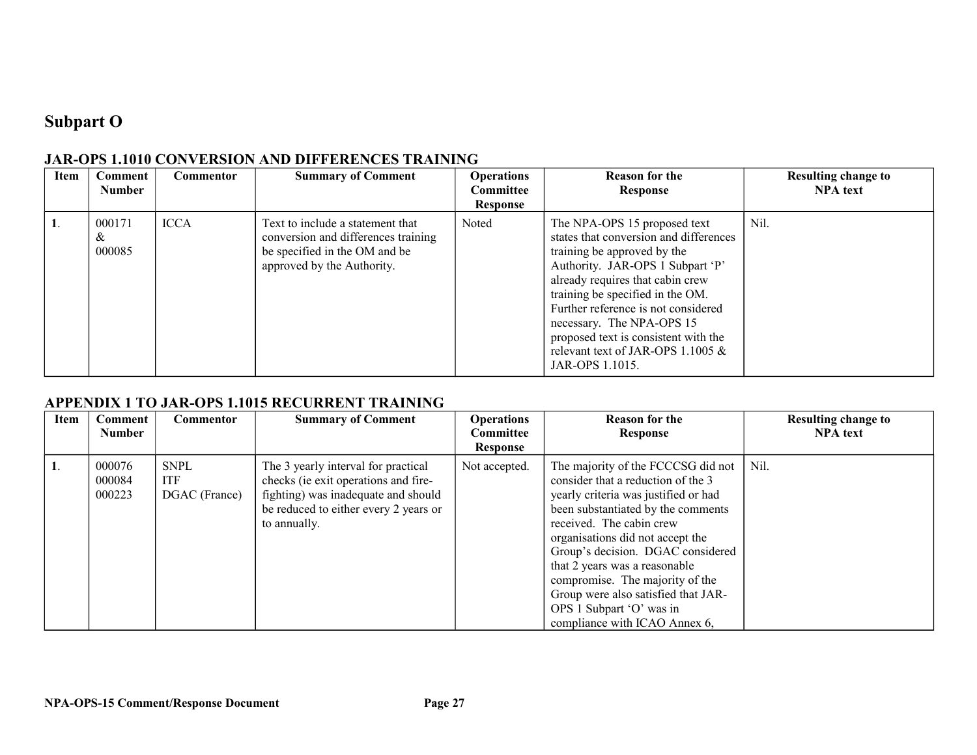## **Subpart O**

| <b>Item</b> | Comment<br><b>Number</b> | Commentor   | <b>Summary of Comment</b>                                                                                                              | <b>Operations</b><br>Committee<br><b>Response</b> | <b>Reason for the</b><br>Response                                                                                                                                                                                                                                                                                                                                                       | <b>Resulting change to</b><br><b>NPA</b> text |
|-------------|--------------------------|-------------|----------------------------------------------------------------------------------------------------------------------------------------|---------------------------------------------------|-----------------------------------------------------------------------------------------------------------------------------------------------------------------------------------------------------------------------------------------------------------------------------------------------------------------------------------------------------------------------------------------|-----------------------------------------------|
|             | 000171<br>&<br>000085    | <b>ICCA</b> | Text to include a statement that<br>conversion and differences training<br>be specified in the OM and be<br>approved by the Authority. | Noted                                             | The NPA-OPS 15 proposed text<br>states that conversion and differences<br>training be approved by the<br>Authority. JAR-OPS 1 Subpart 'P'<br>already requires that cabin crew<br>training be specified in the OM.<br>Further reference is not considered<br>necessary. The NPA-OPS 15<br>proposed text is consistent with the<br>relevant text of JAR-OPS 1.1005 $&$<br>JAR-OPS 1.1015. | Nil.                                          |

#### **JAR-OPS 1.1010 CONVERSION AND DIFFERENCES TRAINING**

#### **APPENDIX 1 TO JAR-OPS 1.1015 RECURRENT TRAINING**

| Item | Comment<br><b>Number</b>   | Commentor                                  | <b>Summary of Comment</b>                                                                                                                                                   | <b>Operations</b><br><b>Committee</b><br><b>Response</b> | <b>Reason for the</b><br>Response                                                                                                                                                                                                                                                                                                                                                                                                   | <b>Resulting change to</b><br><b>NPA</b> text |
|------|----------------------------|--------------------------------------------|-----------------------------------------------------------------------------------------------------------------------------------------------------------------------------|----------------------------------------------------------|-------------------------------------------------------------------------------------------------------------------------------------------------------------------------------------------------------------------------------------------------------------------------------------------------------------------------------------------------------------------------------------------------------------------------------------|-----------------------------------------------|
|      | 000076<br>000084<br>000223 | <b>SNPL</b><br><b>ITF</b><br>DGAC (France) | The 3 yearly interval for practical<br>checks (ie exit operations and fire-<br>fighting) was inadequate and should<br>be reduced to either every 2 years or<br>to annually. | Not accepted.                                            | The majority of the FCCCSG did not<br>consider that a reduction of the 3<br>yearly criteria was justified or had<br>been substantiated by the comments<br>received. The cabin crew<br>organisations did not accept the<br>Group's decision. DGAC considered<br>that 2 years was a reasonable<br>compromise. The majority of the<br>Group were also satisfied that JAR-<br>OPS 1 Subpart 'O' was in<br>compliance with ICAO Annex 6, | Nil.                                          |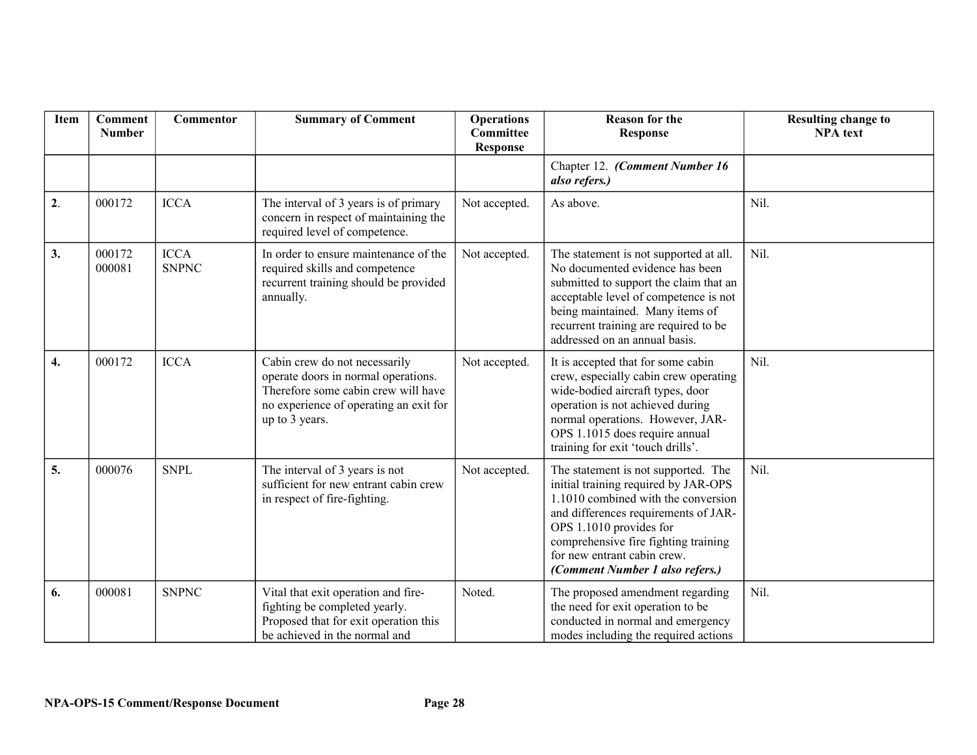| Item | <b>Comment</b><br><b>Number</b> | Commentor                   | <b>Summary of Comment</b>                                                                                                                                               | <b>Operations</b><br>Committee<br><b>Response</b> | <b>Reason for the</b><br><b>Response</b>                                                                                                                                                                                                                                                        | <b>Resulting change to</b><br><b>NPA</b> text |
|------|---------------------------------|-----------------------------|-------------------------------------------------------------------------------------------------------------------------------------------------------------------------|---------------------------------------------------|-------------------------------------------------------------------------------------------------------------------------------------------------------------------------------------------------------------------------------------------------------------------------------------------------|-----------------------------------------------|
|      |                                 |                             |                                                                                                                                                                         |                                                   | Chapter 12. (Comment Number 16<br>also refers.)                                                                                                                                                                                                                                                 |                                               |
| 2.   | 000172                          | <b>ICCA</b>                 | The interval of 3 years is of primary<br>concern in respect of maintaining the<br>required level of competence.                                                         | Not accepted.                                     | As above.                                                                                                                                                                                                                                                                                       | Nil.                                          |
| 3.   | 000172<br>000081                | <b>ICCA</b><br><b>SNPNC</b> | In order to ensure maintenance of the<br>required skills and competence<br>recurrent training should be provided<br>annually.                                           | Not accepted.                                     | The statement is not supported at all.<br>No documented evidence has been<br>submitted to support the claim that an<br>acceptable level of competence is not<br>being maintained. Many items of<br>recurrent training are required to be<br>addressed on an annual basis.                       | Nil.                                          |
| 4.   | 000172                          | <b>ICCA</b>                 | Cabin crew do not necessarily<br>operate doors in normal operations.<br>Therefore some cabin crew will have<br>no experience of operating an exit for<br>up to 3 years. | Not accepted.                                     | It is accepted that for some cabin<br>crew, especially cabin crew operating<br>wide-bodied aircraft types, door<br>operation is not achieved during<br>normal operations. However, JAR-<br>OPS 1.1015 does require annual<br>training for exit 'touch drills'.                                  | Nil.                                          |
| 5.   | 000076                          | <b>SNPL</b>                 | The interval of 3 years is not<br>sufficient for new entrant cabin crew<br>in respect of fire-fighting.                                                                 | Not accepted.                                     | The statement is not supported. The<br>initial training required by JAR-OPS<br>1.1010 combined with the conversion<br>and differences requirements of JAR-<br>OPS 1.1010 provides for<br>comprehensive fire fighting training<br>for new entrant cabin crew.<br>(Comment Number 1 also refers.) | Nil.                                          |
| 6.   | 000081                          | <b>SNPNC</b>                | Vital that exit operation and fire-<br>fighting be completed yearly.<br>Proposed that for exit operation this<br>be achieved in the normal and                          | Noted.                                            | The proposed amendment regarding<br>the need for exit operation to be<br>conducted in normal and emergency<br>modes including the required actions                                                                                                                                              | Nil.                                          |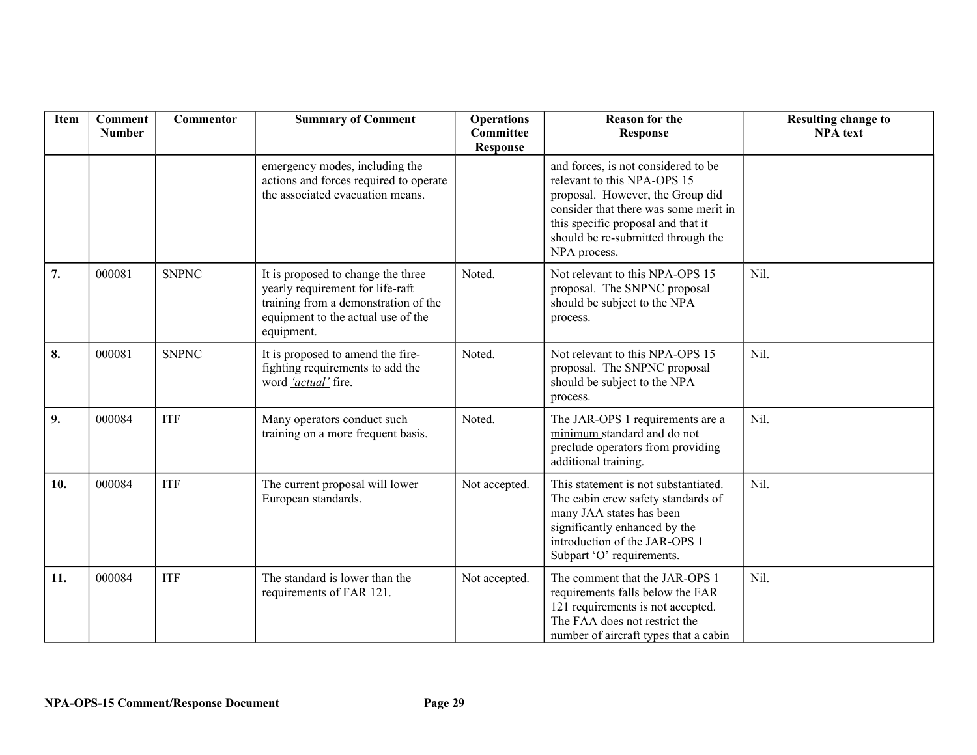| Item | <b>Comment</b><br><b>Number</b> | Commentor    | <b>Summary of Comment</b>                                                                                                                                          | <b>Operations</b><br><b>Committee</b><br><b>Response</b> | <b>Reason for the</b><br><b>Response</b>                                                                                                                                                                                                    | <b>Resulting change to</b><br><b>NPA</b> text |
|------|---------------------------------|--------------|--------------------------------------------------------------------------------------------------------------------------------------------------------------------|----------------------------------------------------------|---------------------------------------------------------------------------------------------------------------------------------------------------------------------------------------------------------------------------------------------|-----------------------------------------------|
|      |                                 |              | emergency modes, including the<br>actions and forces required to operate<br>the associated evacuation means.                                                       |                                                          | and forces, is not considered to be<br>relevant to this NPA-OPS 15<br>proposal. However, the Group did<br>consider that there was some merit in<br>this specific proposal and that it<br>should be re-submitted through the<br>NPA process. |                                               |
| 7.   | 000081                          | <b>SNPNC</b> | It is proposed to change the three<br>yearly requirement for life-raft<br>training from a demonstration of the<br>equipment to the actual use of the<br>equipment. | Noted.                                                   | Not relevant to this NPA-OPS 15<br>proposal. The SNPNC proposal<br>should be subject to the NPA<br>process.                                                                                                                                 | Nil.                                          |
| 8.   | 000081                          | <b>SNPNC</b> | It is proposed to amend the fire-<br>fighting requirements to add the<br>word 'actual' fire.                                                                       | Noted.                                                   | Not relevant to this NPA-OPS 15<br>proposal. The SNPNC proposal<br>should be subject to the NPA<br>process.                                                                                                                                 | Nil.                                          |
| 9.   | 000084                          | <b>ITF</b>   | Many operators conduct such<br>training on a more frequent basis.                                                                                                  | Noted.                                                   | The JAR-OPS 1 requirements are a<br>minimum standard and do not<br>preclude operators from providing<br>additional training.                                                                                                                | Nil.                                          |
| 10.  | 000084                          | <b>ITF</b>   | The current proposal will lower<br>European standards.                                                                                                             | Not accepted.                                            | This statement is not substantiated.<br>The cabin crew safety standards of<br>many JAA states has been<br>significantly enhanced by the<br>introduction of the JAR-OPS 1<br>Subpart 'O' requirements.                                       | Nil.                                          |
| 11.  | 000084                          | <b>ITF</b>   | The standard is lower than the<br>requirements of FAR 121.                                                                                                         | Not accepted.                                            | The comment that the JAR-OPS 1<br>requirements falls below the FAR<br>121 requirements is not accepted.<br>The FAA does not restrict the<br>number of aircraft types that a cabin                                                           | Nil.                                          |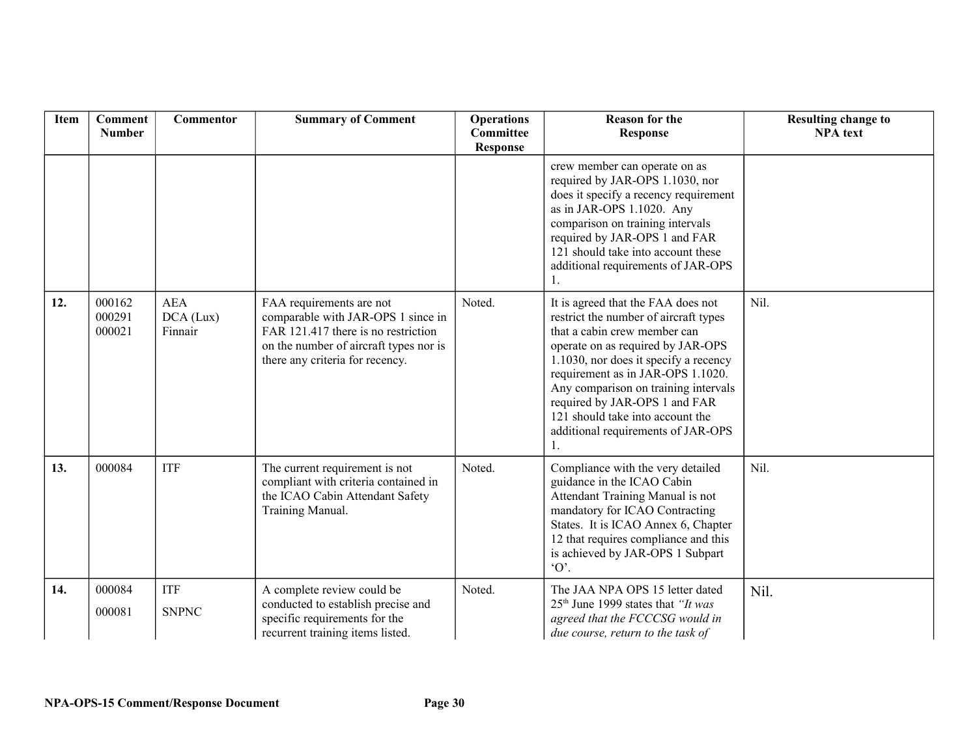| Item | <b>Comment</b><br><b>Number</b> | Commentor                          | <b>Summary of Comment</b>                                                                                                                                                          | <b>Operations</b><br>Committee<br><b>Response</b> | <b>Reason for the</b><br><b>Response</b>                                                                                                                                                                                                                                                                                                                                          | <b>Resulting change to</b><br><b>NPA</b> text |
|------|---------------------------------|------------------------------------|------------------------------------------------------------------------------------------------------------------------------------------------------------------------------------|---------------------------------------------------|-----------------------------------------------------------------------------------------------------------------------------------------------------------------------------------------------------------------------------------------------------------------------------------------------------------------------------------------------------------------------------------|-----------------------------------------------|
|      |                                 |                                    |                                                                                                                                                                                    |                                                   | crew member can operate on as<br>required by JAR-OPS 1.1030, nor<br>does it specify a recency requirement<br>as in JAR-OPS 1.1020. Any<br>comparison on training intervals<br>required by JAR-OPS 1 and FAR<br>121 should take into account these<br>additional requirements of JAR-OPS<br>1.                                                                                     |                                               |
| 12.  | 000162<br>000291<br>000021      | <b>AEA</b><br>DCA (Lux)<br>Finnair | FAA requirements are not<br>comparable with JAR-OPS 1 since in<br>FAR 121.417 there is no restriction<br>on the number of aircraft types nor is<br>there any criteria for recency. | Noted.                                            | It is agreed that the FAA does not<br>restrict the number of aircraft types<br>that a cabin crew member can<br>operate on as required by JAR-OPS<br>1.1030, nor does it specify a recency<br>requirement as in JAR-OPS 1.1020.<br>Any comparison on training intervals<br>required by JAR-OPS 1 and FAR<br>121 should take into account the<br>additional requirements of JAR-OPS | Nil.                                          |
| 13.  | 000084                          | <b>ITF</b>                         | The current requirement is not<br>compliant with criteria contained in<br>the ICAO Cabin Attendant Safety<br>Training Manual.                                                      | Noted.                                            | Compliance with the very detailed<br>guidance in the ICAO Cabin<br>Attendant Training Manual is not<br>mandatory for ICAO Contracting<br>States. It is ICAO Annex 6, Chapter<br>12 that requires compliance and this<br>is achieved by JAR-OPS 1 Subpart<br>$\Omega$ .                                                                                                            | Nil.                                          |
| 14.  | 000084<br>000081                | <b>ITF</b><br><b>SNPNC</b>         | A complete review could be<br>conducted to establish precise and<br>specific requirements for the<br>recurrent training items listed.                                              | Noted.                                            | The JAA NPA OPS 15 letter dated<br>$25th$ June 1999 states that " <i>It was</i><br>agreed that the FCCCSG would in<br>due course, return to the task of                                                                                                                                                                                                                           | Nil.                                          |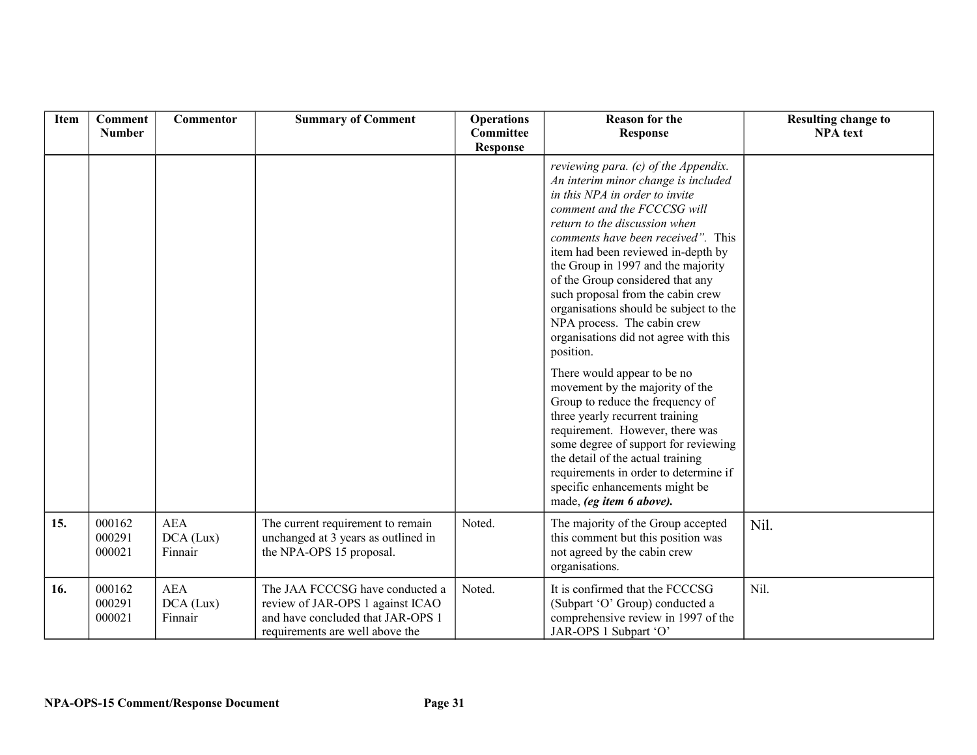| Item | <b>Comment</b><br><b>Number</b> | Commentor                          | <b>Summary of Comment</b>                                                                                                                   | <b>Operations</b><br>Committee<br><b>Response</b> | <b>Reason for the</b><br><b>Response</b>                                                                                                                                                                                                                                                                                                                                                                                                                                                                                                                                                                                                                                                                                                                                                                                                                                | <b>Resulting change to</b><br><b>NPA</b> text |
|------|---------------------------------|------------------------------------|---------------------------------------------------------------------------------------------------------------------------------------------|---------------------------------------------------|-------------------------------------------------------------------------------------------------------------------------------------------------------------------------------------------------------------------------------------------------------------------------------------------------------------------------------------------------------------------------------------------------------------------------------------------------------------------------------------------------------------------------------------------------------------------------------------------------------------------------------------------------------------------------------------------------------------------------------------------------------------------------------------------------------------------------------------------------------------------------|-----------------------------------------------|
|      |                                 |                                    |                                                                                                                                             |                                                   | reviewing para. (c) of the Appendix.<br>An interim minor change is included<br>in this NPA in order to invite<br>comment and the FCCCSG will<br>return to the discussion when<br>comments have been received". This<br>item had been reviewed in-depth by<br>the Group in 1997 and the majority<br>of the Group considered that any<br>such proposal from the cabin crew<br>organisations should be subject to the<br>NPA process. The cabin crew<br>organisations did not agree with this<br>position.<br>There would appear to be no<br>movement by the majority of the<br>Group to reduce the frequency of<br>three yearly recurrent training<br>requirement. However, there was<br>some degree of support for reviewing<br>the detail of the actual training<br>requirements in order to determine if<br>specific enhancements might be<br>made, (eg item 6 above). |                                               |
| 15.  | 000162<br>000291<br>000021      | <b>AEA</b><br>DCA (Lux)<br>Finnair | The current requirement to remain<br>unchanged at 3 years as outlined in<br>the NPA-OPS 15 proposal.                                        | Noted.                                            | The majority of the Group accepted<br>this comment but this position was<br>not agreed by the cabin crew<br>organisations.                                                                                                                                                                                                                                                                                                                                                                                                                                                                                                                                                                                                                                                                                                                                              | Nil.                                          |
| 16.  | 000162<br>000291<br>000021      | <b>AEA</b><br>DCA (Lux)<br>Finnair | The JAA FCCCSG have conducted a<br>review of JAR-OPS 1 against ICAO<br>and have concluded that JAR-OPS 1<br>requirements are well above the | Noted.                                            | It is confirmed that the FCCCSG<br>(Subpart 'O' Group) conducted a<br>comprehensive review in 1997 of the<br>JAR-OPS 1 Subpart 'O'                                                                                                                                                                                                                                                                                                                                                                                                                                                                                                                                                                                                                                                                                                                                      | Nil.                                          |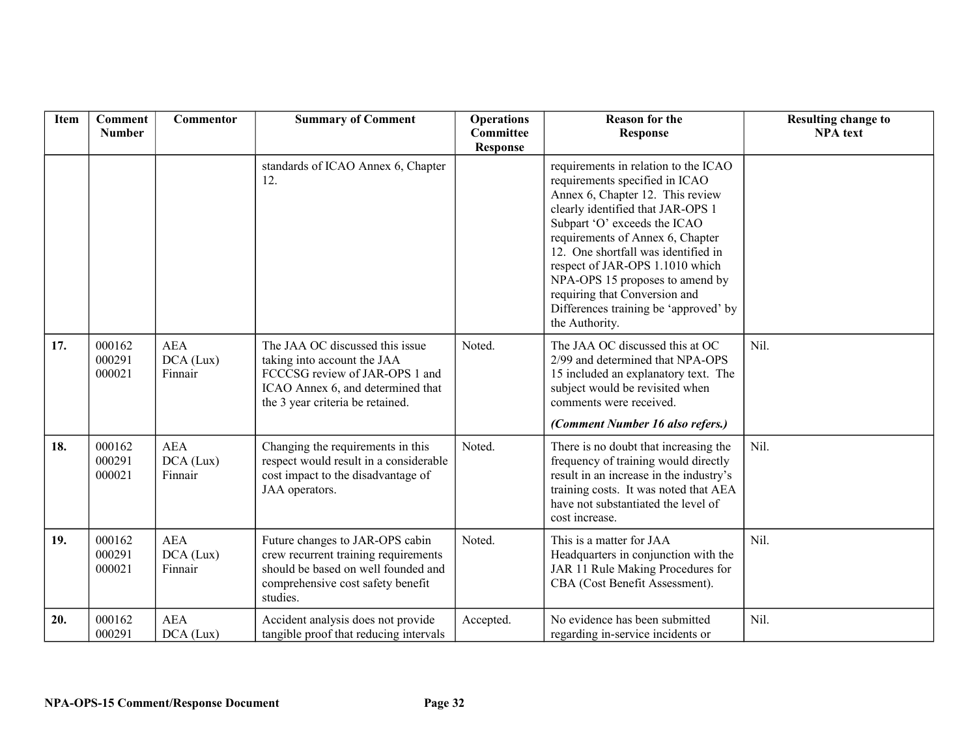| Item | <b>Comment</b><br><b>Number</b> | Commentor                          | <b>Summary of Comment</b>                                                                                                                                                 | <b>Operations</b><br><b>Committee</b><br><b>Response</b> | <b>Reason for the</b><br><b>Response</b>                                                                                                                                                                                                                                                                                                                                                                                     | <b>Resulting change to</b><br><b>NPA</b> text |
|------|---------------------------------|------------------------------------|---------------------------------------------------------------------------------------------------------------------------------------------------------------------------|----------------------------------------------------------|------------------------------------------------------------------------------------------------------------------------------------------------------------------------------------------------------------------------------------------------------------------------------------------------------------------------------------------------------------------------------------------------------------------------------|-----------------------------------------------|
|      |                                 |                                    | standards of ICAO Annex 6, Chapter<br>12.                                                                                                                                 |                                                          | requirements in relation to the ICAO<br>requirements specified in ICAO<br>Annex 6, Chapter 12. This review<br>clearly identified that JAR-OPS 1<br>Subpart 'O' exceeds the ICAO<br>requirements of Annex 6, Chapter<br>12. One shortfall was identified in<br>respect of JAR-OPS 1.1010 which<br>NPA-OPS 15 proposes to amend by<br>requiring that Conversion and<br>Differences training be 'approved' by<br>the Authority. |                                               |
| 17.  | 000162<br>000291<br>000021      | <b>AEA</b><br>DCA (Lux)<br>Finnair | The JAA OC discussed this issue<br>taking into account the JAA<br>FCCCSG review of JAR-OPS 1 and<br>ICAO Annex 6, and determined that<br>the 3 year criteria be retained. | Noted.                                                   | The JAA OC discussed this at OC<br>2/99 and determined that NPA-OPS<br>15 included an explanatory text. The<br>subject would be revisited when<br>comments were received.<br>(Comment Number 16 also refers.)                                                                                                                                                                                                                | Nil.                                          |
| 18.  | 000162<br>000291<br>000021      | <b>AEA</b><br>DCA (Lux)<br>Finnair | Changing the requirements in this<br>respect would result in a considerable<br>cost impact to the disadvantage of<br>JAA operators.                                       | Noted.                                                   | There is no doubt that increasing the<br>frequency of training would directly<br>result in an increase in the industry's<br>training costs. It was noted that AEA<br>have not substantiated the level of<br>cost increase.                                                                                                                                                                                                   | Nil.                                          |
| 19.  | 000162<br>000291<br>000021      | <b>AEA</b><br>DCA (Lux)<br>Finnair | Future changes to JAR-OPS cabin<br>crew recurrent training requirements<br>should be based on well founded and<br>comprehensive cost safety benefit<br>studies.           | Noted.                                                   | This is a matter for JAA<br>Headquarters in conjunction with the<br>JAR 11 Rule Making Procedures for<br>CBA (Cost Benefit Assessment).                                                                                                                                                                                                                                                                                      | Nil.                                          |
| 20.  | 000162<br>000291                | <b>AEA</b><br>DCA (Lux)            | Accident analysis does not provide<br>tangible proof that reducing intervals                                                                                              | Accepted.                                                | No evidence has been submitted<br>regarding in-service incidents or                                                                                                                                                                                                                                                                                                                                                          | Nil.                                          |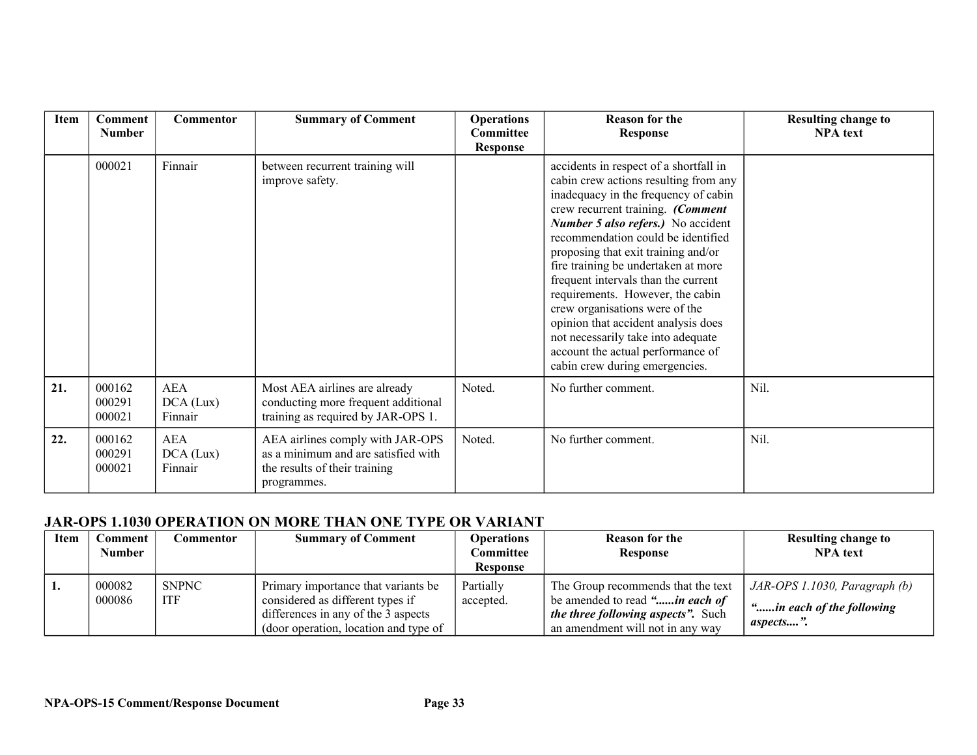| <b>Item</b> | <b>Comment</b><br><b>Number</b> | <b>Commentor</b>                   | <b>Summary of Comment</b>                                                                                               | <b>Operations</b><br>Committee<br><b>Response</b> | <b>Reason for the</b><br><b>Response</b>                                                                                                                                                                                                                                                                                                                                                                                                                                                                                                                                                | <b>Resulting change to</b><br><b>NPA</b> text |
|-------------|---------------------------------|------------------------------------|-------------------------------------------------------------------------------------------------------------------------|---------------------------------------------------|-----------------------------------------------------------------------------------------------------------------------------------------------------------------------------------------------------------------------------------------------------------------------------------------------------------------------------------------------------------------------------------------------------------------------------------------------------------------------------------------------------------------------------------------------------------------------------------------|-----------------------------------------------|
|             | 000021                          | Finnair                            | between recurrent training will<br>improve safety.                                                                      |                                                   | accidents in respect of a shortfall in<br>cabin crew actions resulting from any<br>inadequacy in the frequency of cabin<br>crew recurrent training. (Comment<br>Number 5 also refers.) No accident<br>recommendation could be identified<br>proposing that exit training and/or<br>fire training be undertaken at more<br>frequent intervals than the current<br>requirements. However, the cabin<br>crew organisations were of the<br>opinion that accident analysis does<br>not necessarily take into adequate<br>account the actual performance of<br>cabin crew during emergencies. |                                               |
| 21.         | 000162<br>000291<br>000021      | <b>AEA</b><br>DCA (Lux)<br>Finnair | Most AEA airlines are already<br>conducting more frequent additional<br>training as required by JAR-OPS 1.              | Noted.                                            | No further comment.                                                                                                                                                                                                                                                                                                                                                                                                                                                                                                                                                                     | Nil.                                          |
| 22.         | 000162<br>000291<br>000021      | <b>AEA</b><br>DCA (Lux)<br>Finnair | AEA airlines comply with JAR-OPS<br>as a minimum and are satisfied with<br>the results of their training<br>programmes. | Noted.                                            | No further comment.                                                                                                                                                                                                                                                                                                                                                                                                                                                                                                                                                                     | Nil.                                          |

### **JAR-OPS 1.1030 OPERATION ON MORE THAN ONE TYPE OR VARIANT**

| Item | Comment | Commentor    | <b>Summary of Comment</b>             | <b>Operations</b> | <b>Reason for the</b>                     | <b>Resulting change to</b>              |
|------|---------|--------------|---------------------------------------|-------------------|-------------------------------------------|-----------------------------------------|
|      | Number  |              |                                       | Committee         | <b>Response</b>                           | <b>NPA</b> text                         |
|      |         |              |                                       | Response          |                                           |                                         |
|      | 000082  | <b>SNPNC</b> | Primary importance that variants be   | Partially         | The Group recommends that the text        | $JAR-OPS 1.1030$ , Paragraph (b)        |
|      | 000086  | <b>ITF</b>   | considered as different types if      | accepted.         | be amended to read " <i>in each of</i>    |                                         |
|      |         |              | differences in any of the 3 aspects   |                   | <i>the three following aspects".</i> Such | "in each of the following"<br>aspects". |
|      |         |              | (door operation, location and type of |                   | an amendment will not in any way          |                                         |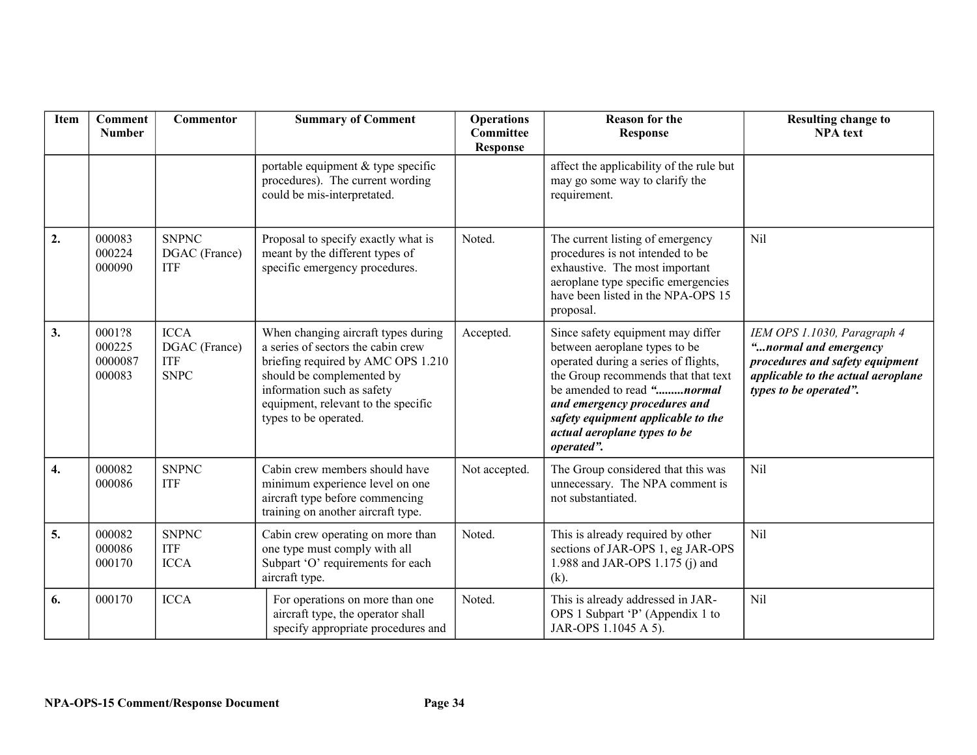| <b>Item</b>      | <b>Comment</b><br><b>Number</b>       | Commentor                                                 | <b>Summary of Comment</b>                                                                                                                                                                                                                  | <b>Operations</b><br><b>Committee</b><br><b>Response</b> | <b>Reason for the</b><br><b>Response</b>                                                                                                                                                                                                                                                                    | <b>Resulting change to</b><br><b>NPA</b> text                                                                                                           |
|------------------|---------------------------------------|-----------------------------------------------------------|--------------------------------------------------------------------------------------------------------------------------------------------------------------------------------------------------------------------------------------------|----------------------------------------------------------|-------------------------------------------------------------------------------------------------------------------------------------------------------------------------------------------------------------------------------------------------------------------------------------------------------------|---------------------------------------------------------------------------------------------------------------------------------------------------------|
|                  |                                       |                                                           | portable equipment & type specific<br>procedures). The current wording<br>could be mis-interpretated.                                                                                                                                      |                                                          | affect the applicability of the rule but<br>may go some way to clarify the<br>requirement.                                                                                                                                                                                                                  |                                                                                                                                                         |
| $\overline{2}$ . | 000083<br>000224<br>000090            | <b>SNPNC</b><br>DGAC (France)<br><b>ITF</b>               | Proposal to specify exactly what is<br>meant by the different types of<br>specific emergency procedures.                                                                                                                                   | Noted.                                                   | The current listing of emergency<br>procedures is not intended to be<br>exhaustive. The most important<br>aeroplane type specific emergencies<br>have been listed in the NPA-OPS 15<br>proposal.                                                                                                            | Nil                                                                                                                                                     |
| 3.               | 0001?8<br>000225<br>0000087<br>000083 | <b>ICCA</b><br>DGAC (France)<br><b>ITF</b><br><b>SNPC</b> | When changing aircraft types during<br>a series of sectors the cabin crew<br>briefing required by AMC OPS 1.210<br>should be complemented by<br>information such as safety<br>equipment, relevant to the specific<br>types to be operated. | Accepted.                                                | Since safety equipment may differ<br>between aeroplane types to be<br>operated during a series of flights,<br>the Group recommends that that text<br>be amended to read " <i>normal</i><br>and emergency procedures and<br>safety equipment applicable to the<br>actual aeroplane types to be<br>operated". | IEM OPS 1.1030, Paragraph 4<br>"normal and emergency<br>procedures and safety equipment<br>applicable to the actual aeroplane<br>types to be operated". |
| 4.               | 000082<br>000086                      | <b>SNPNC</b><br><b>ITF</b>                                | Cabin crew members should have<br>minimum experience level on one<br>aircraft type before commencing<br>training on another aircraft type.                                                                                                 | Not accepted.                                            | The Group considered that this was<br>unnecessary. The NPA comment is<br>not substantiated.                                                                                                                                                                                                                 | Nil                                                                                                                                                     |
| 5.               | 000082<br>000086<br>000170            | <b>SNPNC</b><br><b>ITF</b><br><b>ICCA</b>                 | Cabin crew operating on more than<br>one type must comply with all<br>Subpart 'O' requirements for each<br>aircraft type.                                                                                                                  | Noted.                                                   | This is already required by other<br>sections of JAR-OPS 1, eg JAR-OPS<br>1.988 and JAR-OPS 1.175 (j) and<br>$(k)$ .                                                                                                                                                                                        | Nil                                                                                                                                                     |
| 6.               | 000170                                | <b>ICCA</b>                                               | For operations on more than one<br>aircraft type, the operator shall<br>specify appropriate procedures and                                                                                                                                 | Noted.                                                   | This is already addressed in JAR-<br>OPS 1 Subpart 'P' (Appendix 1 to<br>JAR-OPS 1.1045 A 5).                                                                                                                                                                                                               | Nil                                                                                                                                                     |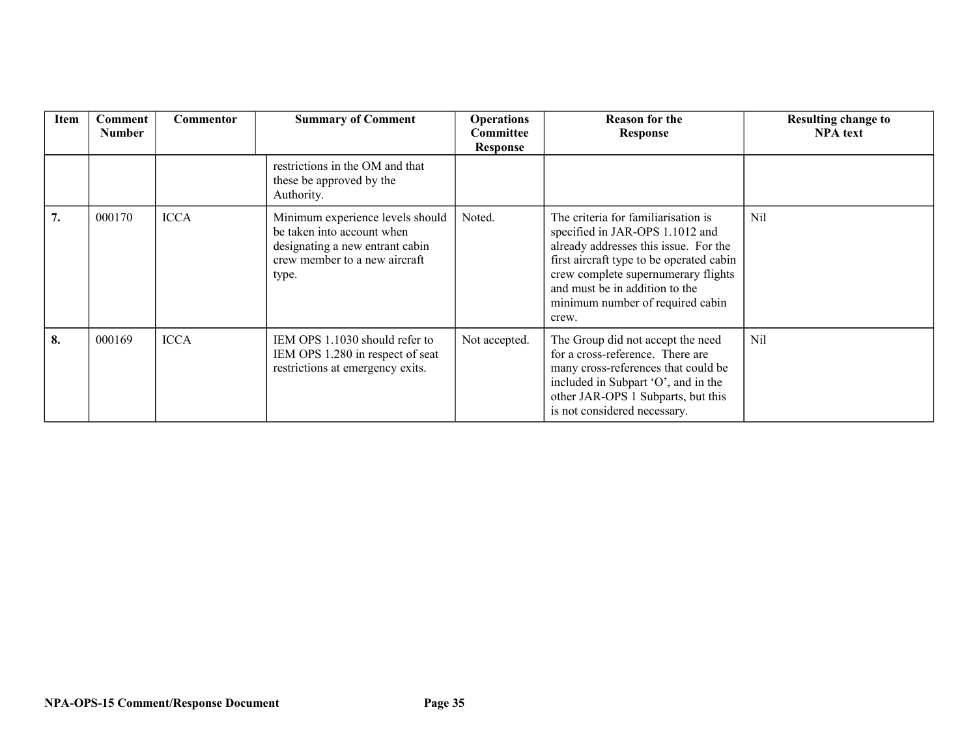| Item | <b>Comment</b><br><b>Number</b> | <b>Commentor</b> | <b>Summary of Comment</b>                                                                                                                   | <b>Operations</b><br><b>Committee</b><br><b>Response</b> | <b>Reason for the</b><br><b>Response</b>                                                                                                                                                                                                                                          | <b>Resulting change to</b><br><b>NPA</b> text |
|------|---------------------------------|------------------|---------------------------------------------------------------------------------------------------------------------------------------------|----------------------------------------------------------|-----------------------------------------------------------------------------------------------------------------------------------------------------------------------------------------------------------------------------------------------------------------------------------|-----------------------------------------------|
|      |                                 |                  | restrictions in the OM and that<br>these be approved by the<br>Authority.                                                                   |                                                          |                                                                                                                                                                                                                                                                                   |                                               |
| 7.   | 000170                          | <b>ICCA</b>      | Minimum experience levels should<br>be taken into account when<br>designating a new entrant cabin<br>crew member to a new aircraft<br>type. | Noted.                                                   | The criteria for familiarization is<br>specified in JAR-OPS 1.1012 and<br>already addresses this issue. For the<br>first aircraft type to be operated cabin<br>crew complete supernumerary flights<br>and must be in addition to the<br>minimum number of required cabin<br>crew. | Nil                                           |
| 8.   | 000169                          | <b>ICCA</b>      | IEM OPS 1.1030 should refer to<br>IEM OPS 1.280 in respect of seat<br>restrictions at emergency exits.                                      | Not accepted.                                            | The Group did not accept the need<br>for a cross-reference. There are<br>many cross-references that could be<br>included in Subpart 'O', and in the<br>other JAR-OPS 1 Subparts, but this<br>is not considered necessary.                                                         | Nil                                           |